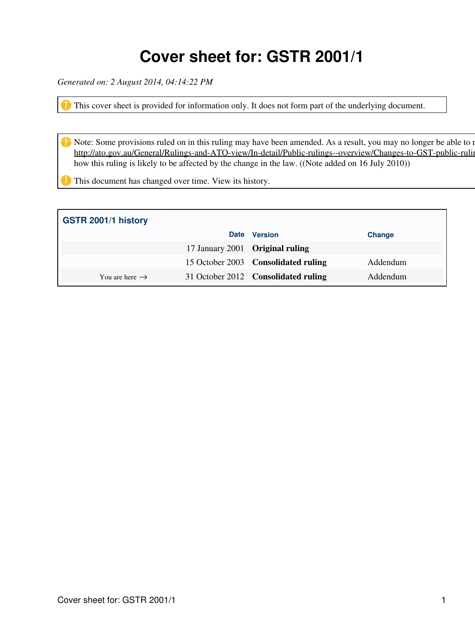### **Cover sheet for: GSTR 2001/1**

*Generated on: 2 August 2014, 04:14:22 PM*

This cover sheet is provided for information only. It does not form part of the underlying document.

Note: Some provisions ruled on in this ruling may have been amended. As a result, you may no longer be able to rely http://ato.gov.au/General/Rulings-and-ATO-view/In-detail/Public-rulings--overview/Changes-to-GST-public-ruling how this ruling is likely to be affected by the change in the law. ((Note added on 16 July 2010))

**This document has changed over time. View its history.** 

| GSTR 2001/1 history        |                                 |                                     |               |
|----------------------------|---------------------------------|-------------------------------------|---------------|
|                            | <b>Date</b>                     | <b>Version</b>                      | <b>Change</b> |
|                            | 17 January 2001 Original ruling |                                     |               |
|                            |                                 | 15 October 2003 Consolidated ruling | Addendum      |
| You are here $\rightarrow$ |                                 | 31 October 2012 Consolidated ruling | Addendum      |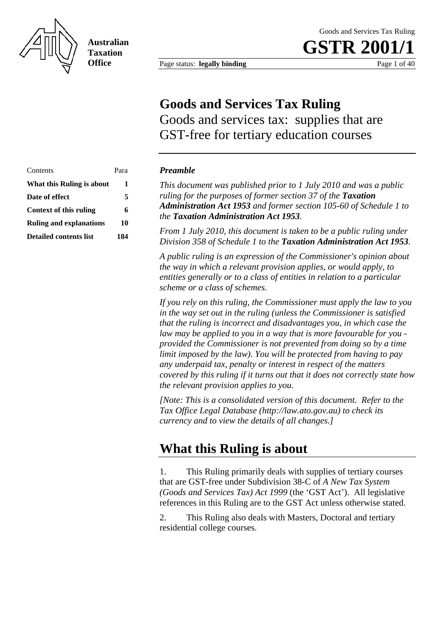<span id="page-1-0"></span>

**Australian Taxation Office**

Page status: **legally binding** Page 1 of 40

**GSTR 2001** 

### **Goods and Services Tax Ruling**

Goods and services tax: supplies that are GST-free for tertiary education courses

| Contents                       | Para |
|--------------------------------|------|
| What this Ruling is about      | 1    |
| Date of effect                 | 5    |
| Context of this ruling         | 6    |
| <b>Ruling and explanations</b> | 10   |
| Detailed contents list         | 184  |

#### **Preamble**

This document was published prior to 1 July 2010 and was a public *ruling for the purposes of former section 37 of the Taxation Administration Act 1953 and former section 105-60 of Schedule 1 to the Taxation Administration Act 1953.* 

*From 1 July 2010, this document is taken to be a public ruling under*  **Division 358 of Schedule 1 to the Taxation Administration Act 1953.** 

*A public ruling is an expression of the Commissioner's opinion about the way in which a relevant provision applies, or would apply, to entities generally or to a class of entities in relation to a particular scheme or a class of schemes.* 

*If you rely on this ruling, the Commissioner must apply the law to you in the way set out in the ruling (unless the Commissioner is satisfied that the ruling is incorrect and disadvantages you, in which case the law may be applied to you in a way that is more favourable for you provided the Commissioner is not prevented from doing so by a time limit imposed by the law). You will be protected from having to pay any underpaid tax, penalty or interest in respect of the matters covered by this ruling if it turns out that it does not correctly state how the relevant provision applies to you.* 

*[Note: This is a consolidated version of this document. Refer to the Tax Office Legal Database (http://law.ato.gov.au) to check its currency and to view the details of all changes.]* 

### **What this Ruling is about**

1. This Ruling primarily deals with supplies of tertiary courses that are GST-free under Subdivision 38-C of *A New Tax System (Goods and Services Tax) Act 1999* (the 'GST Act'). All legislative references in this Ruling are to the GST Act unless otherwise stated.

2. This Ruling also deals with Masters, Doctoral and tertiary residential college courses.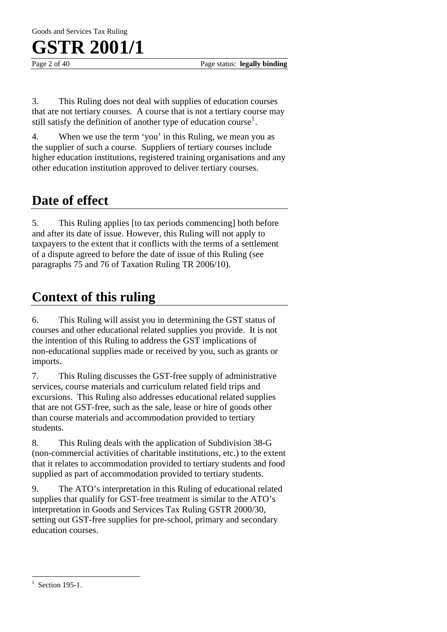Page 2 of 40 Page status: **legally binding** 

3. This Ruling does not deal with supplies of education courses that are not tertiary courses. A course that is not a tertiary course may still satisfy the definition of another type of education course<sup>[1](#page-2-0)</sup>.

4. When we use the term 'you' in this Ruling, we mean you as the supplier of such a course. Suppliers of tertiary courses include higher education institutions, registered training organisations and any other education institution approved to deliver tertiary courses.

### **Date of effect**

5. This Ruling applies [to tax periods commencing] both before and after its date of issue. However, this Ruling will not apply to taxpayers to the extent that it conflicts with the terms of a settlement of a dispute agreed to before the date of issue of this Ruling (see paragraphs 75 and 76 of Taxation Ruling TR 2006/10).

### **Context of this ruling**

6. This Ruling will assist you in determining the GST status of courses and other educational related supplies you provide. It is not the intention of this Ruling to address the GST implications of non-educational supplies made or received by you, such as grants or imports.

7. This Ruling discusses the GST-free supply of administrative services, course materials and curriculum related field trips and excursions. This Ruling also addresses educational related supplies that are not GST-free, such as the sale, lease or hire of goods other than course materials and accommodation provided to tertiary students.

8. This Ruling deals with the application of Subdivision 38-G (non-commercial activities of charitable institutions, etc.) to the extent that it relates to accommodation provided to tertiary students and food supplied as part of accommodation provided to tertiary students.

9. The ATO's interpretation in this Ruling of educational related supplies that qualify for GST-free treatment is similar to the ATO's interpretation in Goods and Services Tax Ruling GSTR 2000/30, setting out GST-free supplies for pre-school, primary and secondary education courses.

 $\overline{a}$ 

<span id="page-2-0"></span><sup>1</sup> Section 195-1.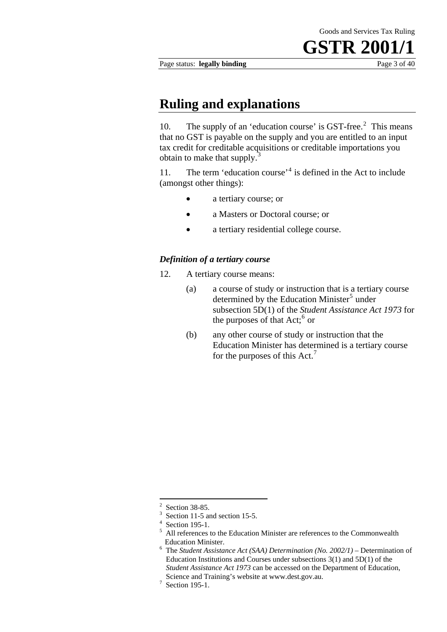Page status: **legally binding** Page 3 of 40

### **Ruling and explanations**

10. The supply of an 'education course' is GST-free.<sup>[2](#page-3-0)</sup> This means that no GST is payable on the supply and you are entitled to an input tax credit for creditable acquisitions or creditable importations you obtain to make that supply.<sup>[3](#page-3-1)</sup>

11. The term 'education course'<sup>[4](#page-3-2)</sup> is defined in the Act to include (amongst other things):

- a tertiary course; or
- a Masters or Doctoral course; or
- a tertiary residential college course.

#### *Definition of a tertiary course*

- 12. A tertiary course means:
	- (a) a course of study or instruction that is a tertiary course determined by the Education Minister<sup>[5](#page-3-3)</sup> under subsection 5D(1) of the *Student Assistance Act 1973* for the purposes of that  $Act; ^6$  $Act; ^6$  or
	- (b) any other course of study or instruction that the Education Minister has determined is a tertiary course for the purposes of this Act.<sup>[7](#page-3-5)</sup>

1

<sup>2</sup> Section 38-85.

<sup>3</sup> Section 11-5 and section 15-5.

<span id="page-3-2"></span><span id="page-3-1"></span><span id="page-3-0"></span><sup>4</sup> Section 195-1.

<span id="page-3-4"></span><span id="page-3-3"></span><sup>5</sup> All references to the Education Minister are references to the Commonwealth Education Minister.

The *Student Assistance Act (SAA) Determination (No. 2002/1)* – Determination of Education Institutions and Courses under subsections 3(1) and 5D(1) of the *Student Assistance Act 1973* can be accessed on the Department of Education, Science and Training's website at www.dest.gov.au. 7

<span id="page-3-5"></span> $\frac{3}{2}$  Section 195-1.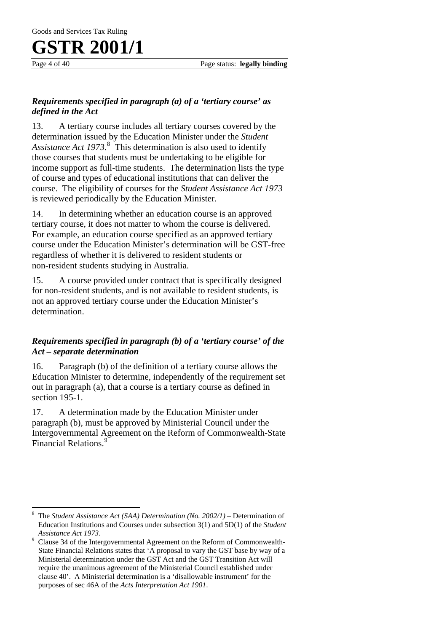#### *Requirements specified in paragraph (a) of a 'tertiary course' as defined in the Act*

13. A tertiary course includes all tertiary courses covered by the determination issued by the Education Minister under the *Student*  Assistance Act 1973.<sup>[8](#page-4-0)</sup> This determination is also used to identify those courses that students must be undertaking to be eligible for income support as full-time students. The determination lists the type of course and types of educational institutions that can deliver the course. The eligibility of courses for the *Student Assistance Act 1973* is reviewed periodically by the Education Minister .

14. In determining whether an education course is an approved tertiary course, it does not matter to whom the course is delivered. For example, an education course specified as an approved tertiary course under the Education Minister's determination will be GST-free regardless of whether it is delivered to resident students or non-resident students studying in Australia.

15. A course provided under contract that is specifically designed for non-resident students, and is not available to resident students, is not an approved tertiary course under the Education Minister's determination.

#### *Requirements specified in paragraph (b) of a 'tertiary course' of the Act – separate determination*

16. Paragraph (b) of the definition of a tertiary course allows the Education Minister to determine, independently of the requirement set out in paragraph (a), that a course is a tertiary course as defined in section 195-1.

17. A determination made by the Education Minister under paragraph (b), must be approved by Ministerial Council under the Intergovernmental Agreement on the Reform of Commonwealth-State Financial Relations.<sup>[9](#page-4-1)</sup>

<span id="page-4-0"></span> $\overline{a}$ 8 The *Student Assistance Act (SAA) Determination (No. 2002/1)* – Determination of Education Institutions and Courses under subsection 3(1) and 5D(1) of the *Student Assistance Act 1973.* 

<span id="page-4-1"></span>Clause 34 of the Intergovernmental Agreement on the Reform of Commonwealth-State Financial Relations states that 'A proposal to vary the GST base by way of a Ministerial determination under the GST Act and the GST Transition Act will require the unanimous agreement of the Ministerial Council established under clause 40'. A Ministerial determination is a 'disallowable instrument' for the purposes of sec 46A of the *Acts Interpretation Act 1901*.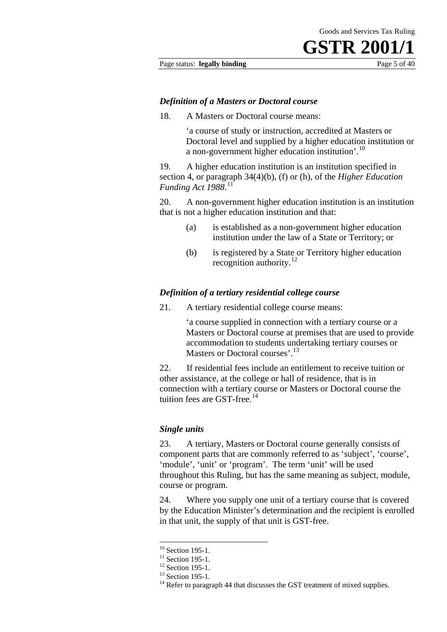#### Page status: **legally binding** Page 5 of 40

#### *Definition of a Masters or Doctoral course*

18. A Masters or Doctoral course means:

'a course of study or instruction, accredited at Masters or Doctoral level and supplied by a higher education institution or a non-government higher education institution'.<sup>[10](#page-5-0)</sup>

19. A higher education institution is an institution specified in section 4, or paragraph 34(4)(b), (f) or (h), of the *Higher Education Funding Act 1988*. [11](#page-5-1)

20. A non-government higher education institution is an institution that is not a higher education institution and that:

- (a) is established as a non-government higher education institution under the law of a State or Territory; or
- (b) is registered by a State or Territory higher education recognition authority.<sup>[12](#page-5-2)</sup>

#### *Definition of a tertiary residential college course*

21. A tertiary residential college course means:

'a course supplied in connection with a tertiary course or a Masters or Doctoral course at premises that are used to provide accommodation to students undertaking tertiary courses or Masters or Doctoral courses'.<sup>[13](#page-5-3)</sup>

22. If residential fees include an entitlement to receive tuition or other assistance, at the college or hall of residence, that is in connection with a tertiary course or Masters or Doctoral course the tuition fees are GST-free. $14$ 

#### *Single units*

23. A tertiary, Masters or Doctoral course generally consists of component parts that are commonly referred to as 'subject', 'course', 'module', 'unit' or 'program'. The term 'unit' will be used throughout this Ruling, but has the same meaning as subject, module, course or program.

24. Where you supply one unit of a tertiary course that is covered by the Education Minister's determination and the recipient is enrolled in that unit, the supply of that unit is GST-free.

1

 $10$  Section 195-1.

 $11$  Section 195-1.

<span id="page-5-2"></span><span id="page-5-1"></span><span id="page-5-0"></span> $12$  Section 195-1.

<span id="page-5-4"></span><span id="page-5-3"></span> $13$  Section 195-1.

<sup>&</sup>lt;sup>14</sup> Refer to paragraph 44 that discusses the GST treatment of mixed supplies.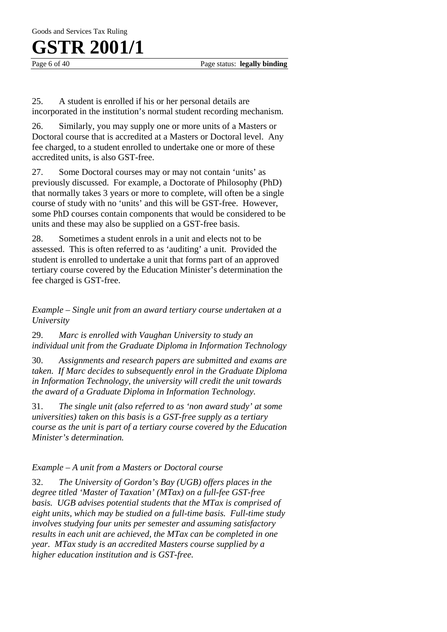Page 6 of 40 Page status: **legally binding** 

25. A student is enrolled if his or her personal details are incorporated in the institution's normal student recording mechanism.

26. Similarly, you may supply one or more units of a Masters or Doctoral course that is accredited at a Masters or Doctoral level. Any fee charged, to a student enrolled to undertake one or more of these accredited units, is also GST-free.

27. Some Doctoral courses may or may not contain 'units' as previously discussed. For example, a Doctorate of Philosophy (PhD) that normally takes 3 years or more to complete, will often be a single course of study with no 'units' and this will be GST-free. However, some PhD courses contain components that would be considered to be units and these may also be supplied on a GST-free basis.

28. Sometimes a student enrols in a unit and elects not to be assessed. This is often referred to as 'auditing' a unit. Provided the student is enrolled to undertake a unit that forms part of an approved tertiary course covered by the Education Minister's determination the fee charged is GST-free.

*Example – Single unit from an award tertiary course undertaken at a University* 

29. *Marc is enrolled with Vaughan University to study an individual unit from the Graduate Diploma in Information Technology* 

30. *Assignments and research papers are submitted and exams are taken. If Marc decides to subsequently enrol in the Graduate Diploma in Information Technology, the university will credit the unit towards the award of a Graduate Diploma in Information Technology.* 

31. *The single unit (also referred to as 'non award study' at some universities) taken on this basis is a GST-free supply as a tertiary course as the unit is part of a tertiary course covered by the Education Minister's determination.*

#### *Example – A unit from a Masters or Doctoral course*

32. *The University of Gordon's Bay (UGB) offers places in the degree titled 'Master of Taxation' (MTax) on a full-fee GST-free basis. UGB advises potential students that the MTax is comprised of eight units, which may be studied on a full-time basis. Full-time study involves studying four units per semester and assuming satisfactory results in each unit are achieved, the MTax can be completed in one year. MTax study is an accredited Masters course supplied by a higher education institution and is GST-free.*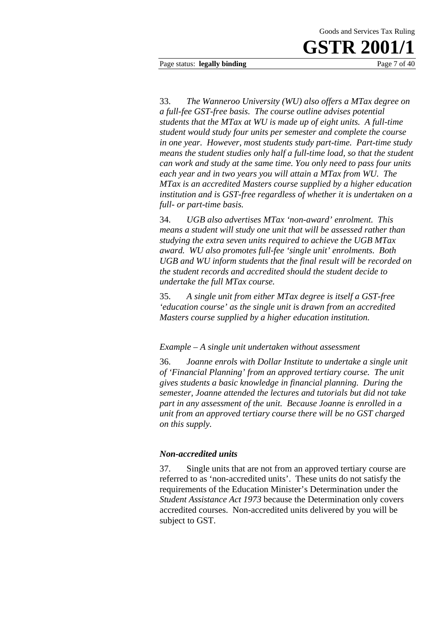#### Page status: **legally binding** Page 7 of 40

33. *The Wanneroo University (WU) also offers a MTax degree on a full-fee GST-free basis. The course outline advises potential students that the MTax at WU is made up of eight units. A full-time student would study four units per semester and complete the course in one year. However, most students study part-time. Part-time study means the student studies only half a full-time load, so that the student can work and study at the same time. You only need to pass four units each year and in two years you will attain a MTax from WU. The MTax is an accredited Masters course supplied by a higher education institution and is GST-free regardless of whether it is undertaken on a full- or part-time basis.*

34. *UGB also advertises MTax 'non-award' enrolment. This means a student will study one unit that will be assessed rather than studying the extra seven units required to achieve the UGB MTax award. WU also promotes full-fee 'single unit' enrolments. Both UGB and WU inform students that the final result will be recorded on the student records and accredited should the student decide to undertake the full MTax course.*

35. *A single unit from either MTax degree is itself a GST-free 'education course' as the single unit is drawn from an accredited Masters course supplied by a higher education institution.* 

*Example – A single unit undertaken without assessment* 

36. *Joanne enrols with Dollar Institute to undertake a single unit of 'Financial Planning' from an approved tertiary course. The unit gives students a basic knowledge in financial planning. During the semester, Joanne attended the lectures and tutorials but did not take part in any assessment of the unit. Because Joanne is enrolled in a unit from an approved tertiary course there will be no GST charged on this supply.* 

#### *Non-accredited units*

37. Single units that are not from an approved tertiary course are referred to as 'non-accredited units'. These units do not satisfy the requirements of the Education Minister's Determination under the *Student Assistance Act 1973* because the Determination only covers accredited courses. Non-accredited units delivered by you will be subject to GST.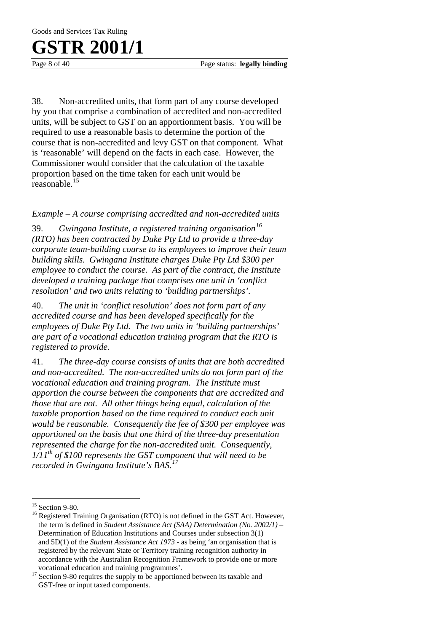Goods and Services Tax Ruling

### **GSTR 2001/1**

Page 8 of 40 Page status: **legally binding** 

38. Non-accredited units, that form part of any course developed by you that comprise a combination of accredited and non-accredited units, will be subject to GST on an apportionment basis. You will be required to use a reasonable basis to determine the portion of the course that is non-accredited and levy GST on that component. What is 'reasonable' will depend on the facts in each case. However, the Commissioner would consider that the calculation of the taxable proportion based on the time taken for each unit would be reasonable.[15](#page-8-0)

*Example – A course comprising accredited and non-accredited units* 

39. *Gwingana Institute, a registered training organisation[16](#page-8-1) (RTO) has been contracted by Duke Pty Ltd to provide a three-day corporate team-building course to its employees to improve their team building skills. Gwingana Institute charges Duke Pty Ltd \$300 per employee to conduct the course. As part of the contract, the Institute developed a training package that comprises one unit in 'conflict resolution' and two units relating to 'building partnerships'.* 

40. *The unit in 'conflict resolution' does not form part of any accredited course and has been developed specifically for the employees of Duke Pty Ltd. The two units in 'building partnerships' are part of a vocational education training program that the RTO is registered to provide.* 

41. *The three-day course consists of units that are both accredited and non-accredited. The non-accredited units do not form part of the vocational education and training program. The Institute must apportion the course between the components that are accredited and those that are not. All other things being equal, calculation of the taxable proportion based on the time required to conduct each unit would be reasonable. Consequently the fee of \$300 per employee was apportioned on the basis that one third of the three-day presentation represented the charge for the non-accredited unit. Consequently, 1/11th of \$100 represents the GST component that will need to be recorded in Gwingana Institute's BAS.[17](#page-8-2)*

 $\overline{a}$ 

<span id="page-8-0"></span> $15$  Section 9-80.

<span id="page-8-1"></span><sup>&</sup>lt;sup>16</sup> Registered Training Organisation (RTO) is not defined in the GST Act. However, the term is defined in *Student Assistance Act (SAA) Determination (No. 2002/1)* – Determination of Education Institutions and Courses under subsection 3(1) and 5D(1) of the *Student Assistance Act 1973* - as being 'an organisation that is registered by the relevant State or Territory training recognition authority in accordance with the Australian Recognition Framework to provide one or more

<span id="page-8-2"></span>vocational education and training programmes'.  $17$  Section 9-80 requires the supply to be apportioned between its taxable and GST-free or input taxed components.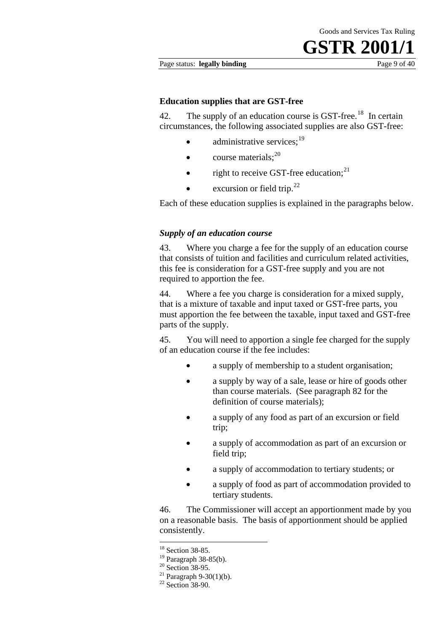#### Page status: **legally binding** Page 9 of 40

#### **Education supplies that are GST-free**

42. The supply of an education course is GST-free.<sup>[18](#page-9-0)</sup> In certain circumstances, the following associated supplies are also GST-free:

- administrative services: $19$
- course materials: $^{20}$  $^{20}$  $^{20}$
- right to receive GST-free education;<sup>[21](#page-9-3)</sup>
- excursion or field trip. $^{22}$  $^{22}$  $^{22}$

Each of these education supplies is explained in the paragraphs below.

#### *Supply of an education course*

43. Where you charge a fee for the supply of an education course that consists of tuition and facilities and curriculum related activities, this fee is consideration for a GST-free supply and you are not required to apportion the fee.

44. Where a fee you charge is consideration for a mixed supply, that is a mixture of taxable and input taxed or GST-free parts, you must apportion the fee between the taxable, input taxed and GST-free parts of the supply.

45. You will need to apportion a single fee charged for the supply of an education course if the fee includes:

- a supply of membership to a student organisation;
- a supply by way of a sale, lease or hire of goods other than course materials. (See paragraph 82 for the definition of course materials);
- a supply of any food as part of an excursion or field trip;
- a supply of accommodation as part of an excursion or field trip;
- a supply of accommodation to tertiary students; or
- a supply of food as part of accommodation provided to tertiary students.

46. The Commissioner will accept an apportionment made by you on a reasonable basis. The basis of apportionment should be applied consistently.

1

<sup>&</sup>lt;sup>18</sup> Section 38-85.

<span id="page-9-0"></span><sup>19</sup> Paragraph 38-85(b).

<span id="page-9-2"></span><span id="page-9-1"></span> $20$  Section 38-95.

<sup>&</sup>lt;sup>21</sup> Paragraph 9-30(1)(b).

<span id="page-9-4"></span><span id="page-9-3"></span> $22$  Section 38-90.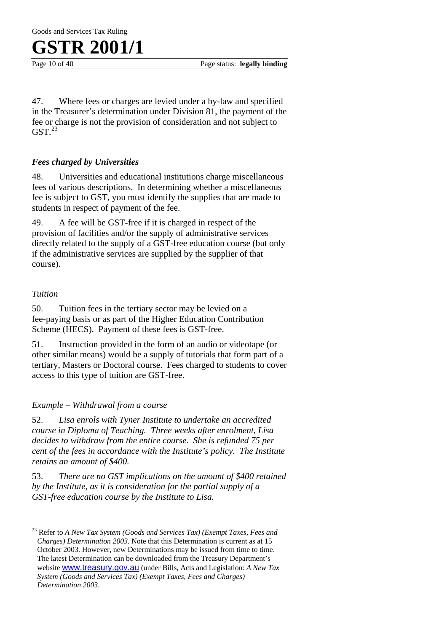

Page 10 of 40 **Page status: legally binding** 

47. Where fees or charges are levied under a by-law and specified in the Treasurer's determination under Division 81, the payment of the fee or charge is not the provision of consideration and not subject to  $GST.<sup>23</sup>$  $GST.<sup>23</sup>$  $GST.<sup>23</sup>$ 

#### *Fees charged by Universities*

48. Universities and educational institutions charge miscellaneous fees of various descriptions. In determining whether a miscellaneous fee is subject to GST, you must identify the supplies that are made to students in respect of payment of the fee.

49. A fee will be GST-free if it is charged in respect of the provision of facilities and/or the supply of administrative services directly related to the supply of a GST-free education course (but only if the administrative services are supplied by the supplier of that course).

#### *Tuition*

 $\overline{a}$ 

50. Tuition fees in the tertiary sector may be levied on a fee-paying basis or as part of the Higher Education Contribution Scheme (HECS). Payment of these fees is GST-free.

51. Instruction provided in the form of an audio or videotape (or other similar means) would be a supply of tutorials that form part of a tertiary, Masters or Doctoral course. Fees charged to students to cover access to this type of tuition are GST-free.

#### *Example – Withdrawal from a course*

52. *Lisa enrols with Tyner Institute to undertake an accredited course in Diploma of Teaching. Three weeks after enrolment, Lisa decides to withdraw from the entire course. She is refunded 75 per cent of the fees in accordance with the Institute's policy. The Institute retains an amount of \$400.* 

53. *There are no GST implications on the amount of \$400 retained by the Institute, as it is consideration for the partial supply of a GST-free education course by the Institute to Lisa.* 

<span id="page-10-0"></span><sup>23</sup> Refer to *A New Tax System (Goods and Services Tax) (Exempt Taxes, Fees and Charges) Determination 2003*. Note that this Determination is current as at 15 October 2003. However, new Determinations may be issued from time to time. The latest Determination can be downloaded from the Treasury Department's website [www.treasury.gov.au](http://www.treasury.gov.au/) (under Bills, Acts and Legislation: *A New Tax System (Goods and Services Tax) (Exempt Taxes, Fees and Charges) Determination 2003*.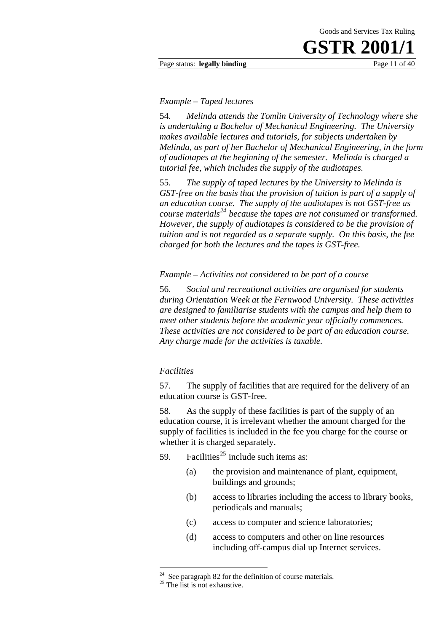#### Page status: **legally binding** Page 11 of 40

#### *Example – Taped lectures*

54. *Melinda attends the Tomlin University of Technology where she is undertaking a Bachelor of Mechanical Engineering. The University makes available lectures and tutorials, for subjects undertaken by Melinda, as part of her Bachelor of Mechanical Engineering, in the form of audiotapes at the beginning of the semester. Melinda is charged a tutorial fee, which includes the supply of the audiotapes.* 

55. *The supply of taped lectures by the University to Melinda is GST-free on the basis that the provision of tuition is part of a supply of an education course. The supply of the audiotapes is not GST-free as course materials[24](#page-11-0) because the tapes are not consumed or transformed. However, the supply of audiotapes is considered to be the provision of tuition and is not regarded as a separate supply. On this basis, the fee charged for both the lectures and the tapes is GST-free.* 

*Example – Activities not considered to be part of a course* 

56. *Social and recreational activities are organised for students during Orientation Week at the Fernwood University. These activities are designed to familiarise students with the campus and help them to meet other students before the academic year officially commences. These activities are not considered to be part of an education course. Any charge made for the activities is taxable.* 

#### *Facilities*

57. The supply of facilities that are required for the delivery of an education course is GST-free.

58. As the supply of these facilities is part of the supply of an education course, it is irrelevant whether the amount charged for the supply of facilities is included in the fee you charge for the course or whether it is charged separately.

- 59. Facilities<sup>[25](#page-11-1)</sup> include such items as:
	- (a) the provision and maintenance of plant, equipment, buildings and grounds;
	- (b) access to libraries including the access to library books, periodicals and manuals;
	- (c) access to computer and science laboratories;
	- (d) access to computers and other on line resources including off-campus dial up Internet services.

1

<span id="page-11-1"></span><span id="page-11-0"></span> $24$  See paragraph 82 for the definition of course materials.

 $25$  The list is not exhaustive.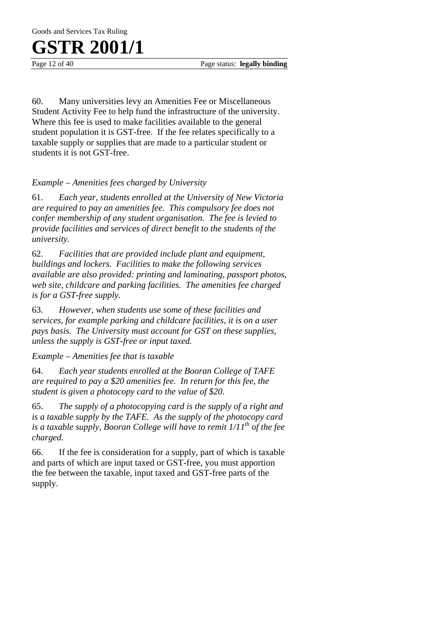Goods and Services Tax Ruling

## **GSTR 2001/1**

Page 12 of 40 **Page status: legally binding** 

60. Many universities levy an Amenities Fee or Miscellaneous Student Activity Fee to help fund the infrastructure of the university. Where this fee is used to make facilities available to the general student population it is GST-free. If the fee relates specifically to a taxable supply or supplies that are made to a particular student or students it is not GST-free.

#### *Example – Amenities fees charged by University*

61. *Each year, students enrolled at the University of New Victoria are required to pay an amenities fee. This compulsory fee does not confer membership of any student organisation. The fee is levied to provide facilities and services of direct benefit to the students of the university.* 

62. *Facilities that are provided include plant and equipment, buildings and lockers. Facilities to make the following services available are also provided: printing and laminating, passport photos, web site, childcare and parking facilities. The amenities fee charged is for a GST-free supply.*

63. *However, when students use some of these facilities and services, for example parking and childcare facilities, it is on a user pays basis. The University must account for GST on these supplies, unless the supply is GST-free or input taxed.* 

*Example – Amenities fee that is taxable* 

64. *Each year students enrolled at the Booran College of TAFE are required to pay a \$20 amenities fee. In return for this fee, the student is given a photocopy card to the value of \$20.* 

65. *The supply of a photocopying card is the supply of a right and is a taxable supply by the TAFE. As the supply of the photocopy card is a taxable supply, Booran College will have to remit 1/11th of the fee charged.* 

66. If the fee is consideration for a supply, part of which is taxable and parts of which are input taxed or GST-free, you must apportion the fee between the taxable, input taxed and GST-free parts of the supply.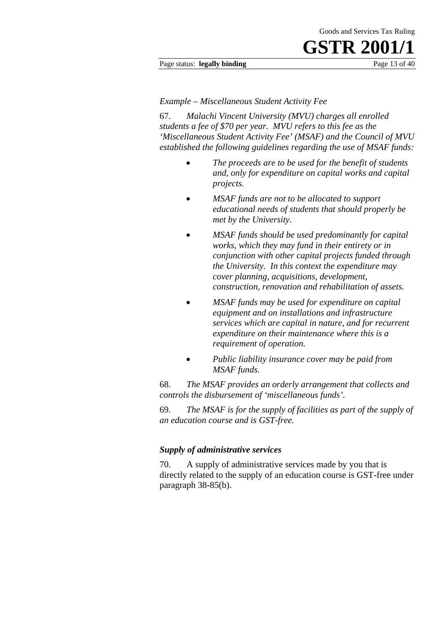#### Page status: **legally binding** Page 13 of 40

#### *Example – Miscellaneous Student Activity Fee*

67. *Malachi Vincent University (MVU) charges all enrolled students a fee of \$70 per year. MVU refers to this fee as the 'Miscellaneous Student Activity Fee' (MSAF) and the Council of MVU established the following guidelines regarding the use of MSAF funds:* 

- *The proceeds are to be used for the benefit of students and, only for expenditure on capital works and capital projects.*
- *MSAF funds are not to be allocated to support educational needs of students that should properly be met by the University.*
- *MSAF funds should be used predominantly for capital works, which they may fund in their entirety or in conjunction with other capital projects funded through the University. In this context the expenditure may cover planning, acquisitions, development, construction, renovation and rehabilitation of assets.*
- *MSAF funds may be used for expenditure on capital equipment and on installations and infrastructure services which are capital in nature, and for recurrent expenditure on their maintenance where this is a requirement of operation.*
- *Public liability insurance cover may be paid from MSAF funds.*

68. *The MSAF provides an orderly arrangement that collects and controls the disbursement of 'miscellaneous funds'.* 

69. *The MSAF is for the supply of facilities as part of the supply of an education course and is GST-free.*

#### *Supply of administrative services*

70. A supply of administrative services made by you that is directly related to the supply of an education course is GST-free under paragraph 38-85(b).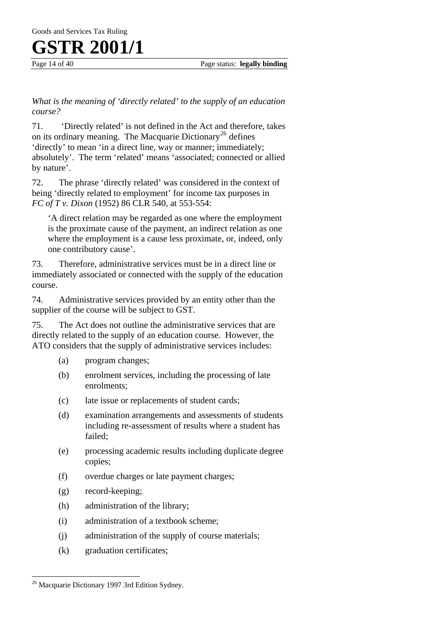Goods and Services Tax Ruling

### **GSTR 2001/1**

Page 14 of 40 **Page status: legally binding** 

*What is the meaning of 'directly related' to the supply of an education course?* 

71. 'Directly related' is not defined in the Act and therefore, takes on its ordinary meaning. The Macquarie Dictionary<sup>[26](#page-14-0)</sup> defines 'directly' to mean 'in a direct line, way or manner; immediately; absolutely'. The term 'related' means 'associated; connected or allied by nature'.

72. The phrase 'directly related' was considered in the context of being 'directly related to employment' for income tax purposes in *FC of T v. Dixon* (1952) 86 CLR 540, at 553-554:

'A direct relation may be regarded as one where the employment is the proximate cause of the payment, an indirect relation as one where the employment is a cause less proximate, or, indeed, only one contributory cause'.

73. Therefore, administrative services must be in a direct line or immediately associated or connected with the supply of the education course.

74. Administrative services provided by an entity other than the supplier of the course will be subject to GST.

75. The Act does not outline the administrative services that are directly related to the supply of an education course. However, the ATO considers that the supply of administrative services includes:

- (a) program changes;
- (b) enrolment services, including the processing of late enrolments;
- (c) late issue or replacements of student cards;
- (d) examination arrangements and assessments of students including re-assessment of results where a student has failed;
- (e) processing academic results including duplicate degree copies;
- (f) overdue charges or late payment charges;
- (g) record-keeping;
- (h) administration of the library;
- (i) administration of a textbook scheme;
- (j) administration of the supply of course materials;
- (k) graduation certificates;

 $\overline{a}$ 

<span id="page-14-0"></span><sup>&</sup>lt;sup>26</sup> Macquarie Dictionary 1997 3rd Edition Sydney.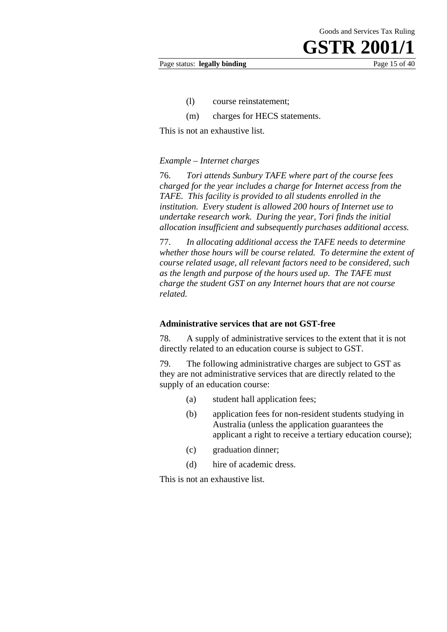#### Page status: **legally binding** Page 15 of 40

- (l) course reinstatement;
- (m) charges for HECS statements.

This is not an exhaustive list.

#### *Example – Internet charges*

76. *Tori attends Sunbury TAFE where part of the course fees charged for the year includes a charge for Internet access from the TAFE. This facility is provided to all students enrolled in the institution. Every student is allowed 200 hours of Internet use to undertake research work. During the year, Tori finds the initial allocation insufficient and subsequently purchases additional access.*

77. *In allocating additional access the TAFE needs to determine whether those hours will be course related. To determine the extent of course related usage, all relevant factors need to be considered, such as the length and purpose of the hours used up. The TAFE must charge the student GST on any Internet hours that are not course related.* 

#### **Administrative services that are not GST-free**

78. A supply of administrative services to the extent that it is not directly related to an education course is subject to GST.

79. The following administrative charges are subject to GST as they are not administrative services that are directly related to the supply of an education course:

- (a) student hall application fees;
- (b) application fees for non-resident students studying in Australia (unless the application guarantees the applicant a right to receive a tertiary education course);
- (c) graduation dinner;
- (d) hire of academic dress.

This is not an exhaustive list.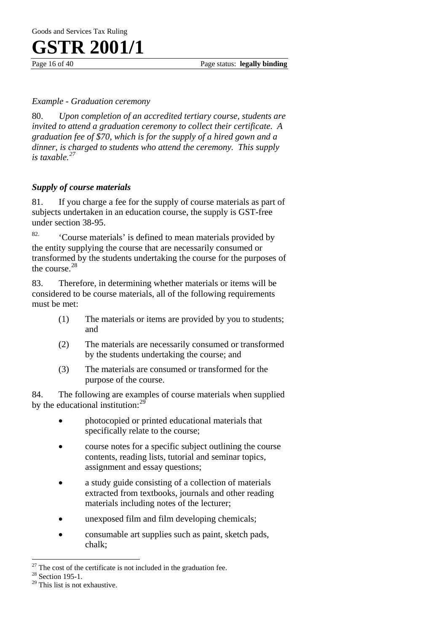Page 16 of 40 **Page status: legally binding** 

#### *Example - Graduation ceremony*

80. *Upon completion of an accredited tertiary course, students are invited to attend a graduation ceremony to collect their certificate. A graduation fee of \$70, which is for the supply of a hired gown and a dinner, is charged to students who attend the ceremony. This supply is taxable.[27](#page-16-0)*

#### *Supply of course materials*

81. If you charge a fee for the supply of course materials as part of subjects undertaken in an education course, the supply is GST-free under section 38-95.

82. 'Course materials' is defined to mean materials provided by the entity supplying the course that are necessarily consumed or transformed by the students undertaking the course for the purposes of the course.[28](#page-16-1) 

83. Therefore, in determining whether materials or items will be considered to be course materials, all of the following requirements must be met:

- (1) The materials or items are provided by you to students; and
- (2) The materials are necessarily consumed or transformed by the students undertaking the course; and
- (3) The materials are consumed or transformed for the purpose of the course.

84. The following are examples of course materials when supplied by the educational institution:<sup>29</sup>

- photocopied or printed educational materials that specifically relate to the course;
- course notes for a specific subject outlining the course contents, reading lists, tutorial and seminar topics, assignment and essay questions;
- a study guide consisting of a collection of materials extracted from textbooks, journals and other reading materials including notes of the lecturer;
- unexposed film and film developing chemicals;
- consumable art supplies such as paint, sketch pads, chalk;

 $\overline{a}$ 

<span id="page-16-0"></span><sup>&</sup>lt;sup>27</sup> The cost of the certificate is not included in the graduation fee.  $^{28}$  Section 195-1.

<span id="page-16-2"></span><span id="page-16-1"></span>

<sup>&</sup>lt;sup>28</sup> Section 195-1.<br><sup>29</sup> This list is not exhaustive.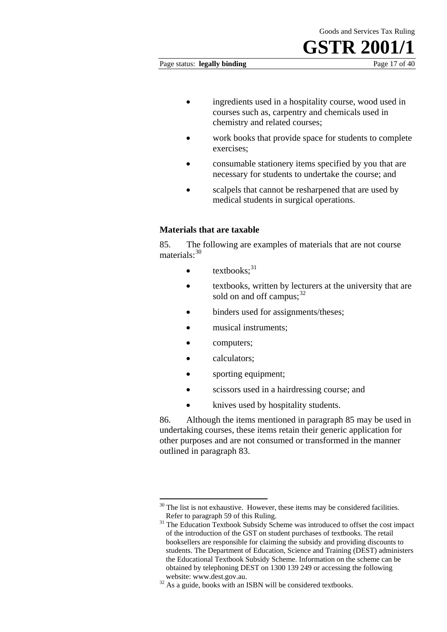Page status: **legally binding** Page 17 of 40

- ingredients used in a hospitality course, wood used in courses such as, carpentry and chemicals used in chemistry and related courses;
- work books that provide space for students to complete exercises;
- consumable stationery items specified by you that are necessary for students to undertake the course; and
- scalpels that cannot be resharpened that are used by medical students in surgical operations.

#### **Materials that are taxable**

85. The following are examples of materials that are not course materials<sup>30</sup>

- $\bullet$  textbooks:  $31$
- textbooks, written by lecturers at the university that are sold on and off campus; $^{32}$  $^{32}$  $^{32}$
- binders used for assignments/theses:
- musical instruments;
- computers;
- calculators;
- sporting equipment;
- scissors used in a hairdressing course; and
- knives used by hospitality students.

86. Although the items mentioned in paragraph 85 may be used in undertaking courses, these items retain their generic application for other purposes and are not consumed or transformed in the manner outlined in paragraph 83.

<span id="page-17-0"></span><sup>1</sup>  $30$  The list is not exhaustive. However, these items may be considered facilities.<br>Refer to paragraph 59 of this Ruling.

<span id="page-17-1"></span> $31$  The Education Textbook Subsidy Scheme was introduced to offset the cost impact of the introduction of the GST on student purchases of textbooks. The retail booksellers are responsible for claiming the subsidy and providing discounts to students. The Department of Education, Science and Training (DEST) administers the Educational Textbook Subsidy Scheme. Information on the scheme can be obtained by telephoning DEST on 1300 139 249 or accessing the following

<span id="page-17-2"></span>website: www.dest.gov.au.<br><sup>32</sup> As a guide, books with an ISBN will be considered textbooks.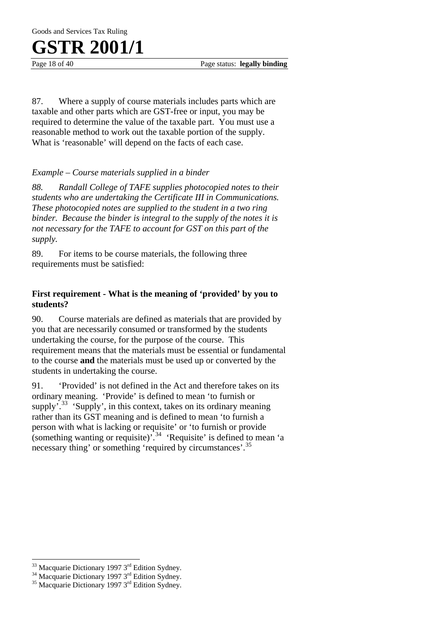Goods and Services Tax Ruling

### **GSTR 2001/1**

Page 18 of 40 Page status: **legally binding** 

87. Where a supply of course materials includes parts which are taxable and other parts which are GST-free or input, you may be required to determine the value of the taxable part. You must use a reasonable method to work out the taxable portion of the supply. What is 'reasonable' will depend on the facts of each case.

#### *Example – Course materials supplied in a binder*

*88. Randall College of TAFE supplies photocopied notes to their students who are undertaking the Certificate III in Communications. These photocopied notes are supplied to the student in a two ring binder. Because the binder is integral to the supply of the notes it is not necessary for the TAFE to account for GST on this part of the supply.* 

89. For items to be course materials, the following three requirements must be satisfied:

#### **First requirement - What is the meaning of 'provided' by you to students?**

90. Course materials are defined as materials that are provided by you that are necessarily consumed or transformed by the students undertaking the course, for the purpose of the course. This requirement means that the materials must be essential or fundamental to the course **and** the materials must be used up or converted by the students in undertaking the course.

91. 'Provided' is not defined in the Act and therefore takes on its ordinary meaning. 'Provide' is defined to mean 'to furnish or supply<sup> $\frac{33}{33}$  $\frac{33}{33}$  $\frac{33}{33}$ </sup> 'Supply', in this context, takes on its ordinary meaning rather than its GST meaning and is defined to mean 'to furnish a person with what is lacking or requisite' or 'to furnish or provide (something wanting or requisite)<sup> $,34$  $,34$ </sup> 'Requisite' is defined to mean 'a necessary thing' or something 'required by circumstances'.<sup>[35](#page-18-2)</sup>

 $\overline{a}$ 

<span id="page-18-0"></span><sup>&</sup>lt;sup>33</sup> Macquarie Dictionary 1997 3<sup>rd</sup> Edition Sydney.<br><sup>34</sup> Macquarie Dictionary 1997 3<sup>rd</sup> Edition Sydney.<br><sup>35</sup> Macquarie Dictionary 1997 3<sup>rd</sup> Edition Sydney.

<span id="page-18-1"></span>

<span id="page-18-2"></span>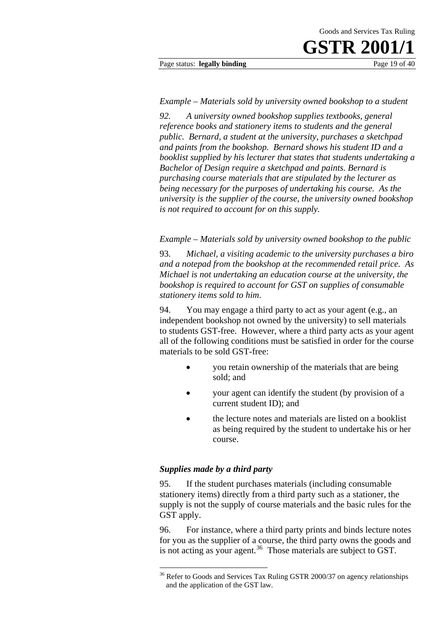#### Page status: **legally binding** Page 19 of 40

#### *Example – Materials sold by university owned bookshop to a student*

*92. A university owned bookshop supplies textbooks, general reference books and stationery items to students and the general public. Bernard, a student at the university, purchases a sketchpad and paints from the bookshop. Bernard shows his student ID and a booklist supplied by his lecturer that states that students undertaking a Bachelor of Design require a sketchpad and paints. Bernard is purchasing course materials that are stipulated by the lecturer as being necessary for the purposes of undertaking his course. As the university is the supplier of the course, the university owned bookshop is not required to account for on this supply.* 

*Example – Materials sold by university owned bookshop to the public* 

93. *Michael, a visiting academic to the university purchases a biro and a notepad from the bookshop at the recommended retail price. As Michael is not undertaking an education course at the university, the bookshop is required to account for GST on supplies of consumable stationery items sold to him*.

94. You may engage a third party to act as your agent (e.g., an independent bookshop not owned by the university) to sell materials to students GST-free. However, where a third party acts as your agent all of the following conditions must be satisfied in order for the course materials to be sold GST-free:

- you retain ownership of the materials that are being sold; and
- your agent can identify the student (by provision of a current student ID); and
- the lecture notes and materials are listed on a booklist as being required by the student to undertake his or her course.

#### *Supplies made by a third party*

1

95. If the student purchases materials (including consumable stationery items) directly from a third party such as a stationer, the supply is not the supply of course materials and the basic rules for the GST apply.

96. For instance, where a third party prints and binds lecture notes for you as the supplier of a course, the third party owns the goods and is not acting as your agent.<sup>[36](#page-19-0)</sup> Those materials are subject to GST.

<span id="page-19-0"></span><sup>&</sup>lt;sup>36</sup> Refer to Goods and Services Tax Ruling GSTR 2000/37 on agency relationships and the application of the GST law.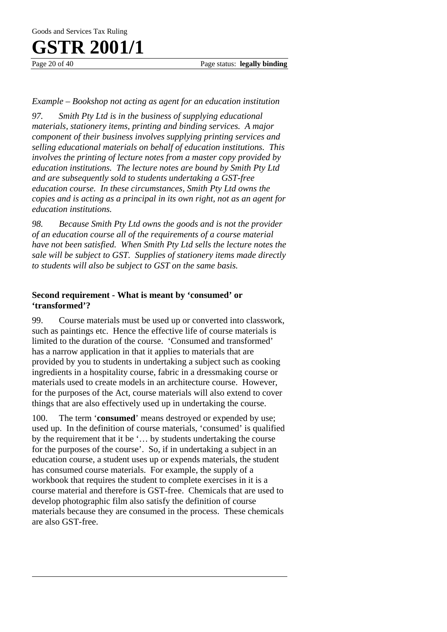$\overline{a}$ 

Page 20 of 40 Page status: **legally binding** 

#### *Example – Bookshop not acting as agent for an education institution*

*97. Smith Pty Ltd is in the business of supplying educational materials, stationery items, printing and binding services. A major component of their business involves supplying printing services and selling educational materials on behalf of education institutions. This involves the printing of lecture notes from a master copy provided by education institutions. The lecture notes are bound by Smith Pty Ltd and are subsequently sold to students undertaking a GST-free education course. In these circumstances, Smith Pty Ltd owns the copies and is acting as a principal in its own right, not as an agent for education institutions.* 

*98. Because Smith Pty Ltd owns the goods and is not the provider of an education course all of the requirements of a course material have not been satisfied. When Smith Pty Ltd sells the lecture notes the sale will be subject to GST. Supplies of stationery items made directly to students will also be subject to GST on the same basis.* 

#### **Second requirement - What is meant by 'consumed' or 'transformed'?**

99. Course materials must be used up or converted into classwork, such as paintings etc. Hence the effective life of course materials is limited to the duration of the course. 'Consumed and transformed' has a narrow application in that it applies to materials that are provided by you to students in undertaking a subject such as cooking ingredients in a hospitality course, fabric in a dressmaking course or materials used to create models in an architecture course. However, for the purposes of the Act, course materials will also extend to cover things that are also effectively used up in undertaking the course.

100. The term '**consumed**' means destroyed or expended by use; used up. In the definition of course materials, 'consumed' is qualified by the requirement that it be '… by students undertaking the course for the purposes of the course'. So, if in undertaking a subject in an education course, a student uses up or expends materials, the student has consumed course materials. For example, the supply of a workbook that requires the student to complete exercises in it is a course material and therefore is GST-free. Chemicals that are used to develop photographic film also satisfy the definition of course materials because they are consumed in the process. These chemicals are also GST-free.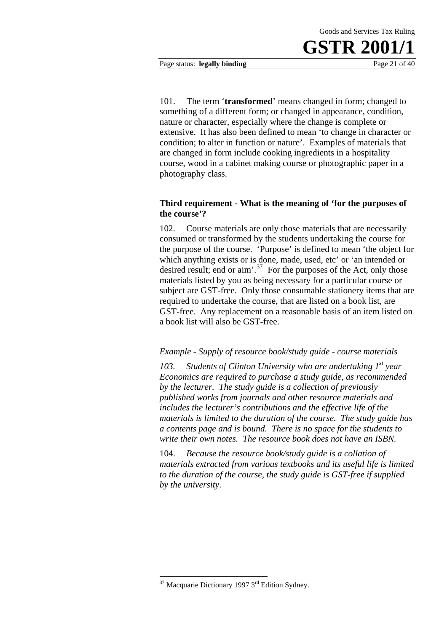

Page status: **legally binding** Page 21 of 40

101. The term '**transformed**' means changed in form; changed to something of a different form; or changed in appearance, condition, nature or character, especially where the change is complete or extensive. It has also been defined to mean 'to change in character or condition; to alter in function or nature'. Examples of materials that are changed in form include cooking ingredients in a hospitality course, wood in a cabinet making course or photographic paper in a photography class.

#### **Third requirement - What is the meaning of 'for the purposes of the course'?**

102. Course materials are only those materials that are necessarily consumed or transformed by the students undertaking the course for the purpose of the course. 'Purpose' is defined to mean 'the object for which anything exists or is done, made, used, etc' or 'an intended or desired result; end or aim'. $37$  For the purposes of the Act, only those materials listed by you as being necessary for a particular course or subject are GST-free. Only those consumable stationery items that are required to undertake the course, that are listed on a book list, are GST-free. Any replacement on a reasonable basis of an item listed on a book list will also be GST-free.

#### *Example - Supply of resource book/study guide - course materials*

103. Students of Clinton University who are undertaking 1<sup>st</sup> year *Economics are required to purchase a study guide, as recommended by the lecturer. The study guide is a collection of previously published works from journals and other resource materials and includes the lecturer's contributions and the effective life of the materials is limited to the duration of the course. The study guide has a contents page and is bound. There is no space for the students to write their own notes. The resource book does not have an ISBN.* 

104. *Because the resource book/study guide is a collation of materials extracted from various textbooks and its useful life is limited to the duration of the course, the study guide is GST-free if supplied by the university*.

1

<span id="page-21-0"></span> $37$  Macquarie Dictionary 1997  $3<sup>rd</sup>$  Edition Sydney.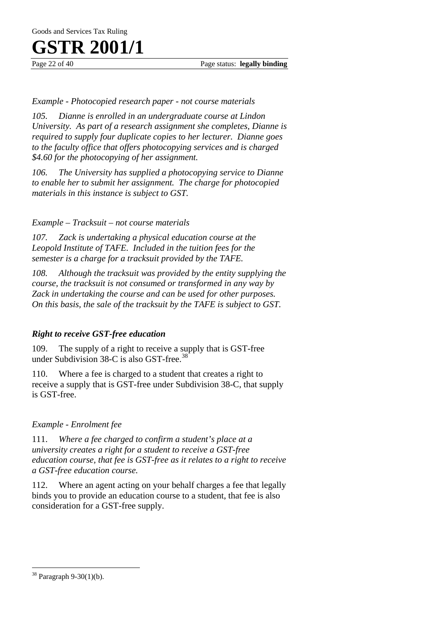Page 22 of 40 Page status: **legally binding** 

#### *Example - Photocopied research paper - not course materials*

*105. Dianne is enrolled in an undergraduate course at Lindon University. As part of a research assignment she completes, Dianne is required to supply four duplicate copies to her lecturer. Dianne goes to the faculty office that offers photocopying services and is charged \$4.60 for the photocopying of her assignment.* 

*106. The University has supplied a photocopying service to Dianne to enable her to submit her assignment. The charge for photocopied materials in this instance is subject to GST.* 

#### *Example – Tracksuit – not course materials*

*107. Zack is undertaking a physical education course at the Leopold Institute of TAFE. Included in the tuition fees for the semester is a charge for a tracksuit provided by the TAFE.* 

*108. Although the tracksuit was provided by the entity supplying the course, the tracksuit is not consumed or transformed in any way by Zack in undertaking the course and can be used for other purposes. On this basis, the sale of the tracksuit by the TAFE is subject to GST.* 

#### *Right to receive GST-free education*

109. The supply of a right to receive a supply that is GST-free under Subdivision  $38-C$  $38-C$  is also GST-free.<sup>38</sup>

110. Where a fee is charged to a student that creates a right to receive a supply that is GST-free under Subdivision 38-C, that supply is GST-free.

#### *Example - Enrolment fee*

111. *Where a fee charged to confirm a student's place at a university creates a right for a student to receive a GST-free education course, that fee is GST-free as it relates to a right to receive a GST-free education course.*

112. Where an agent acting on your behalf charges a fee that legally binds you to provide an education course to a student, that fee is also consideration for a GST-free supply.

 $\overline{a}$ 

<span id="page-22-0"></span><sup>38</sup> Paragraph 9-30(1)(b).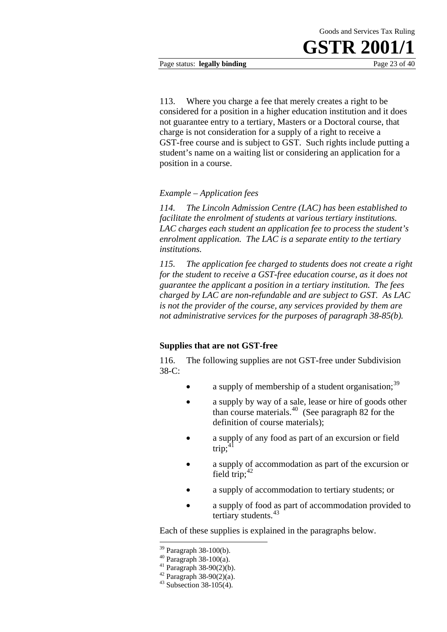Page status: **legally binding** Page 23 of 40

113. Where you charge a fee that merely creates a right to be considered for a position in a higher education institution and it does not guarantee entry to a tertiary, Masters or a Doctoral course, that charge is not consideration for a supply of a right to receive a GST-free course and is subject to GST. Such rights include putting a student's name on a waiting list or considering an application for a position in a course.

#### *Example – Application fees*

*114. The Lincoln Admission Centre (LAC) has been established to facilitate the enrolment of students at various tertiary institutions. LAC charges each student an application fee to process the student's enrolment application. The LAC is a separate entity to the tertiary institutions.* 

*115. The application fee charged to students does not create a right for the student to receive a GST-free education course, as it does not guarantee the applicant a position in a tertiary institution. The fees charged by LAC are non-refundable and are subject to GST. As LAC is not the provider of the course, any services provided by them are not administrative services for the purposes of paragraph 38-85(b).* 

#### **Supplies that are not GST-free**

116. The following supplies are not GST-free under Subdivision 38-C:

- a supply of membership of a student organisation;  $39$
- a supply by way of a sale, lease or hire of goods other than course materials.<sup>[40](#page-23-1)</sup> (See paragraph 82 for the definition of course materials);
- a supply of any food as part of an excursion or field trip: $\overline{1}$
- a supply of accommodation as part of the excursion or field trip; $42$
- a supply of accommodation to tertiary students; or
- a supply of food as part of accommodation provided to tertiary students.<sup>[43](#page-23-4)</sup>

Each of these supplies is explained in the paragraphs below.

1

<sup>39</sup> Paragraph 38-100(b).

<span id="page-23-1"></span><span id="page-23-0"></span><sup>40</sup> Paragraph 38-100(a).

<span id="page-23-2"></span> $41$  Paragraph 38-90(2)(b).

<span id="page-23-3"></span> $42$  Paragraph 38-90(2)(a).

<span id="page-23-4"></span> $43$  Subsection 38-105(4).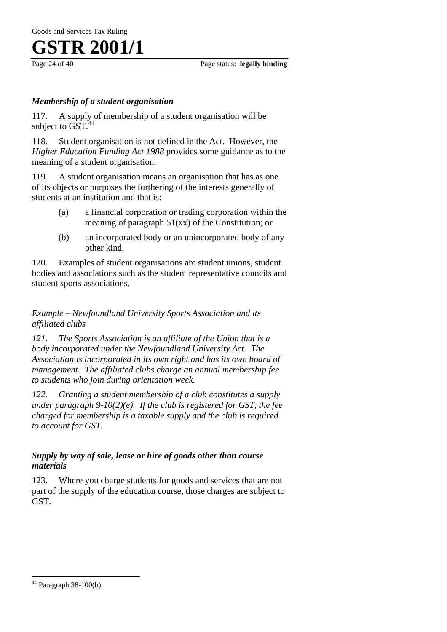

Page 24 of 40 Page status: **legally binding**

#### *Membership of a student organisation*

117. A supply of membership of a student organisation will be subject to  $GST.<sup>44</sup>$ 

118. Student organisation is not defined in the Act. However, the *Higher Education Funding Act 1988* provides some guidance as to the meaning of a student organisation.

119. A student organisation means an organisation that has as one of its objects or purposes the furthering of the interests generally of students at an institution and that is:

- (a) a financial corporation or trading corporation within the meaning of paragraph 51(xx) of the Constitution; or
- (b) an incorporated body or an unincorporated body of any other kind.

120. Examples of student organisations are student unions, student bodies and associations such as the student representative councils and student sports associations.

*Example – Newfoundland University Sports Association and its affiliated clubs* 

*121. The Sports Association is an affiliate of the Union that is a body incorporated under the Newfoundland University Act. The Association is incorporated in its own right and has its own board of management. The affiliated clubs charge an annual membership fee to students who join during orientation week.* 

*122. Granting a student membership of a club constitutes a supply under paragraph 9-10(2)(e). If the club is registered for GST, the fee charged for membership is a taxable supply and the club is required to account for GST.* 

#### *Supply by way of sale, lease or hire of goods other than course materials*

123. Where you charge students for goods and services that are not part of the supply of the education course, those charges are subject to GST.

 $\overline{a}$ 

<span id="page-24-0"></span><sup>44</sup> Paragraph 38-100(b).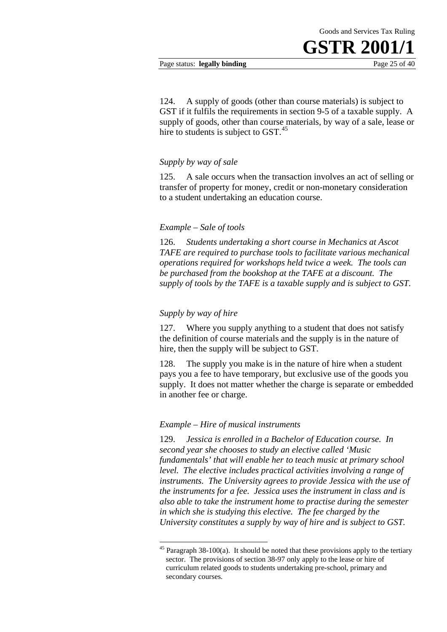#### Page status: **legally binding** Page 25 of 40

124. A supply of goods (other than course materials) is subject to GST if it fulfils the requirements in section 9-5 of a taxable supply. A supply of goods, other than course materials, by way of a sale, lease or hire to students is subject to GST.<sup>[45](#page-25-0)</sup>

#### *Supply by way of sale*

125. A sale occurs when the transaction involves an act of selling or transfer of property for money, credit or non-monetary consideration to a student undertaking an education course.

#### *Example – Sale of tools*

126. *Students undertaking a short course in Mechanics at Ascot TAFE are required to purchase tools to facilitate various mechanical operations required for workshops held twice a week. The tools can be purchased from the bookshop at the TAFE at a discount. The supply of tools by the TAFE is a taxable supply and is subject to GST.*

#### *Supply by way of hire*

1

127. Where you supply anything to a student that does not satisfy the definition of course materials and the supply is in the nature of hire, then the supply will be subject to GST.

128. The supply you make is in the nature of hire when a student pays you a fee to have temporary, but exclusive use of the goods you supply. It does not matter whether the charge is separate or embedded in another fee or charge.

#### *Example – Hire of musical instruments*

129. *Jessica is enrolled in a Bachelor of Education course. In second year she chooses to study an elective called 'Music fundamentals' that will enable her to teach music at primary school level. The elective includes practical activities involving a range of instruments. The University agrees to provide Jessica with the use of the instruments for a fee. Jessica uses the instrument in class and is also able to take the instrument home to practise during the semester in which she is studying this elective. The fee charged by the University constitutes a supply by way of hire and is subject to GST.*

<span id="page-25-0"></span> $45$  Paragraph 38-100(a). It should be noted that these provisions apply to the tertiary sector. The provisions of section 38-97 only apply to the lease or hire of curriculum related goods to students undertaking pre-school, primary and secondary courses.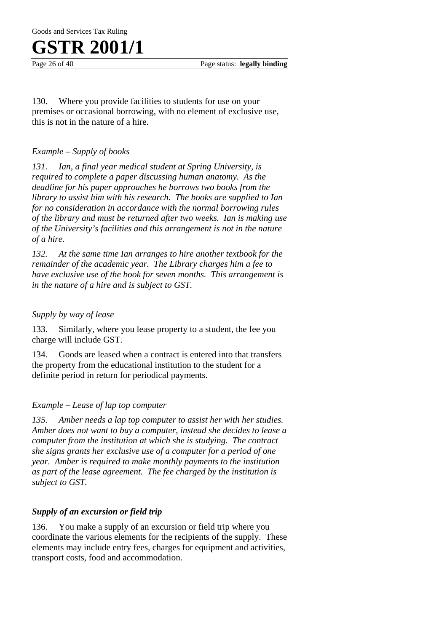Page 26 of 40 Page status: **legally binding** 

130. Where you provide facilities to students for use on your premises or occasional borrowing, with no element of exclusive use, this is not in the nature of a hire.

#### *Example – Supply of books*

*131. Ian, a final year medical student at Spring University, is required to complete a paper discussing human anatomy. As the deadline for his paper approaches he borrows two books from the library to assist him with his research. The books are supplied to Ian for no consideration in accordance with the normal borrowing rules of the library and must be returned after two weeks. Ian is making use of the University's facilities and this arrangement is not in the nature of a hire.* 

*132. At the same time Ian arranges to hire another textbook for the remainder of the academic year. The Library charges him a fee to have exclusive use of the book for seven months. This arrangement is in the nature of a hire and is subject to GST.* 

#### *Supply by way of lease*

133. Similarly, where you lease property to a student, the fee you charge will include GST.

134. Goods are leased when a contract is entered into that transfers the property from the educational institution to the student for a definite period in return for periodical payments.

#### *Example – Lease of lap top computer*

*135. Amber needs a lap top computer to assist her with her studies. Amber does not want to buy a computer, instead she decides to lease a computer from the institution at which she is studying. The contract she signs grants her exclusive use of a computer for a period of one year. Amber is required to make monthly payments to the institution as part of the lease agreement. The fee charged by the institution is subject to GST.* 

#### *Supply of an excursion or field trip*

136. You make a supply of an excursion or field trip where you coordinate the various elements for the recipients of the supply. These elements may include entry fees, charges for equipment and activities, transport costs, food and accommodation.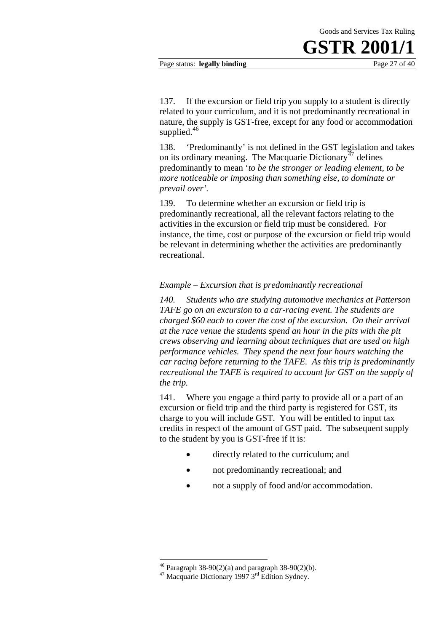#### Page status: **legally binding** Page 27 of 40

137. If the excursion or field trip you supply to a student is directly related to your curriculum, and it is not predominantly recreational in nature, the supply is GST-free, except for any food or accommodation supplied.<sup>[46](#page-27-0)</sup>

138. 'Predominantly' is not defined in the GST legislation and takes on its ordinary meaning. The Macquarie Dictionary<sup> $47$ </sup> defines predominantly to mean '*to be the stronger or leading element, to be more noticeable or imposing than something else, to dominate or prevail over'.*

139. To determine whether an excursion or field trip is predominantly recreational, all the relevant factors relating to the activities in the excursion or field trip must be considered. For instance, the time, cost or purpose of the excursion or field trip would be relevant in determining whether the activities are predominantly recreational.

#### *Example – Excursion that is predominantly recreational*

*140. Students who are studying automotive mechanics at Patterson TAFE go on an excursion to a car-racing event. The students are charged \$60 each to cover the cost of the excursion. On their arrival at the race venue the students spend an hour in the pits with the pit crews observing and learning about techniques that are used on high performance vehicles. They spend the next four hours watching the car racing before returning to the TAFE. As this trip is predominantly recreational the TAFE is required to account for GST on the supply of the trip.* 

141. Where you engage a third party to provide all or a part of an excursion or field trip and the third party is registered for GST, its charge to you will include GST. You will be entitled to input tax credits in respect of the amount of GST paid. The subsequent supply to the student by you is GST-free if it is:

- directly related to the curriculum; and
- not predominantly recreational; and
- not a supply of food and/or accommodation.

1

<span id="page-27-0"></span> $46$  Paragraph 38-90(2)(a) and paragraph 38-90(2)(b).

<span id="page-27-1"></span> $47$  Macquarie Dictionary 1997  $3<sup>rd</sup>$  Edition Sydney.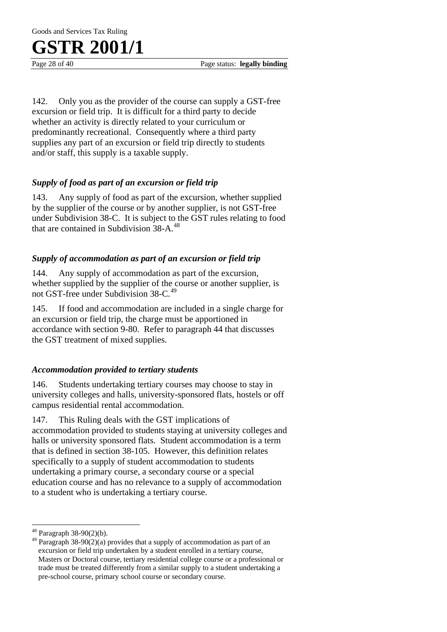Goods and Services Tax Ruling



Page 28 of 40 Page status: **legally binding**

142. Only you as the provider of the course can supply a GST-free excursion or field trip. It is difficult for a third party to decide whether an activity is directly related to your curriculum or predominantly recreational. Consequently where a third party supplies any part of an excursion or field trip directly to students and/or staff, this supply is a taxable supply.

#### *Supply of food as part of an excursion or field trip*

143. Any supply of food as part of the excursion, whether supplied by the supplier of the course or by another supplier, is not GST-free under Subdivision 38-C. It is subject to the GST rules relating to food that are contained in Subdivision 38-A.<sup>[48](#page-28-0)</sup>

#### *Supply of accommodation as part of an excursion or field trip*

144. Any supply of accommodation as part of the excursion, whether supplied by the supplier of the course or another supplier, is not GST-free under Subdivision 38-C.<sup>[49](#page-28-1)</sup>

145. If food and accommodation are included in a single charge for an excursion or field trip, the charge must be apportioned in accordance with section 9-80. Refer to paragraph 44 that discusses the GST treatment of mixed supplies.

#### *Accommodation provided to tertiary students*

146. Students undertaking tertiary courses may choose to stay in university colleges and halls, university-sponsored flats, hostels or off campus residential rental accommodation.

147. This Ruling deals with the GST implications of accommodation provided to students staying at university colleges and halls or university sponsored flats. Student accommodation is a term that is defined in section 38-105. However, this definition relates specifically to a supply of student accommodation to students undertaking a primary course, a secondary course or a special education course and has no relevance to a supply of accommodation to a student who is undertaking a tertiary course.

 $\overline{a}$ 

<span id="page-28-0"></span><sup>48</sup> Paragraph 38-90(2)(b).

<span id="page-28-1"></span><sup>&</sup>lt;sup>49</sup> Paragraph 38-90(2)(a) provides that a supply of accommodation as part of an excursion or field trip undertaken by a student enrolled in a tertiary course, Masters or Doctoral course, tertiary residential college course or a professional or trade must be treated differently from a similar supply to a student undertaking a pre-school course, primary school course or secondary course.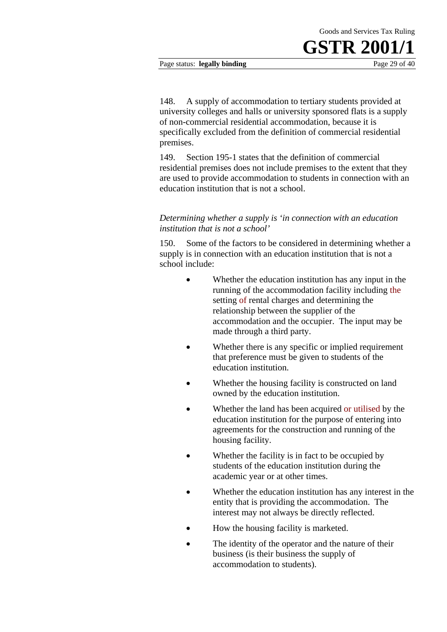#### Page status: **legally binding** Page 29 of 40

148. A supply of accommodation to tertiary students provided at university colleges and halls or university sponsored flats is a supply of non-commercial residential accommodation, because it is specifically excluded from the definition of commercial residential premises.

149. Section 195-1 states that the definition of commercial residential premises does not include premises to the extent that they are used to provide accommodation to students in connection with an education institution that is not a school.

#### *Determining whether a supply is 'in connection with an education institution that is not a school'*

150. Some of the factors to be considered in determining whether a supply is in connection with an education institution that is not a school include:

- Whether the education institution has any input in the running of the accommodation facility including the setting of rental charges and determining the relationship between the supplier of the accommodation and the occupier. The input may be made through a third party.
- Whether there is any specific or implied requirement that preference must be given to students of the education institution.
- Whether the housing facility is constructed on land owned by the education institution.
- Whether the land has been acquired or utilised by the education institution for the purpose of entering into agreements for the construction and running of the housing facility.
- Whether the facility is in fact to be occupied by students of the education institution during the academic year or at other times.
- Whether the education institution has any interest in the entity that is providing the accommodation. The interest may not always be directly reflected.
- How the housing facility is marketed.
- The identity of the operator and the nature of their business (is their business the supply of accommodation to students).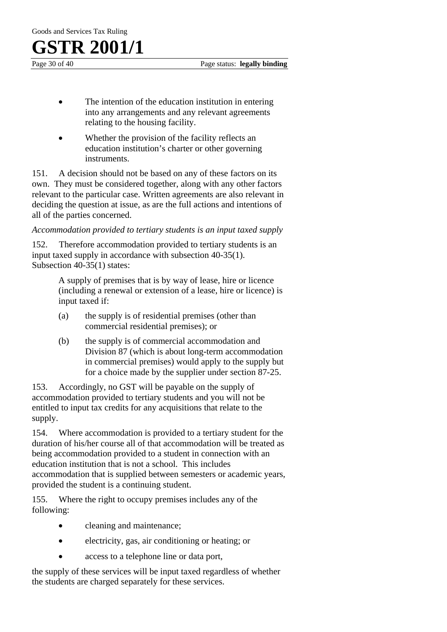Page 30 of 40 Page status: **legally binding**

- The intention of the education institution in entering into any arrangements and any relevant agreements relating to the housing facility.
- Whether the provision of the facility reflects an education institution's charter or other governing instruments.

151. A decision should not be based on any of these factors on its own. They must be considered together, along with any other factors relevant to the particular case. Written agreements are also relevant in deciding the question at issue, as are the full actions and intentions of all of the parties concerned.

*Accommodation provided to tertiary students is an input taxed supply* 

152. Therefore accommodation provided to tertiary students is an input taxed supply in accordance with subsection 40-35(1). Subsection 40-35(1) states:

> A supply of premises that is by way of lease, hire or licence (including a renewal or extension of a lease, hire or licence) is input taxed if:

- (a) the supply is of residential premises (other than commercial residential premises); or
- (b) the supply is of commercial accommodation and Division 87 (which is about long-term accommodation in commercial premises) would apply to the supply but for a choice made by the supplier under section 87-25.

153. Accordingly, no GST will be payable on the supply of accommodation provided to tertiary students and you will not be entitled to input tax credits for any acquisitions that relate to the supply.

154. Where accommodation is provided to a tertiary student for the duration of his/her course all of that accommodation will be treated as being accommodation provided to a student in connection with an education institution that is not a school. This includes accommodation that is supplied between semesters or academic years, provided the student is a continuing student.

155. Where the right to occupy premises includes any of the following:

- cleaning and maintenance;
- electricity, gas, air conditioning or heating; or
- access to a telephone line or data port,

the supply of these services will be input taxed regardless of whether the students are charged separately for these services.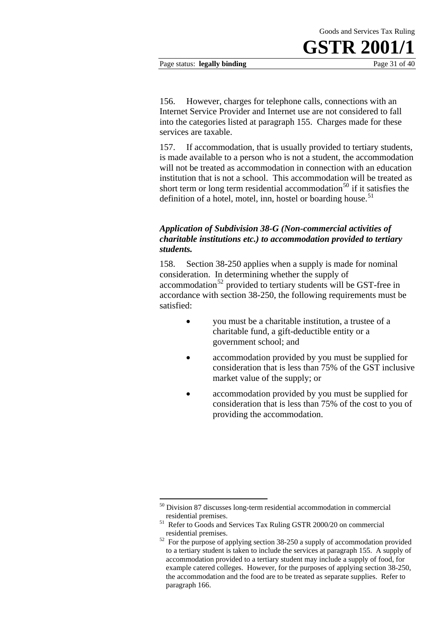Page status: **legally binding** Page 31 of 40

156. However, charges for telephone calls, connections with an Internet Service Provider and Internet use are not considered to fall into the categories listed at paragraph 155. Charges made for these services are taxable.

157. If accommodation, that is usually provided to tertiary students, is made available to a person who is not a student, the accommodation will not be treated as accommodation in connection with an education institution that is not a school. This accommodation will be treated as short term or long term residential accommodation<sup>[50](#page-31-0)</sup> if it satisfies the definition of a hotel, motel, inn, hostel or boarding house. $51$ 

#### *Application of Subdivision 38-G (Non-commercial activities of charitable institutions etc.) to accommodation provided to tertiary students.*

158. Section 38-250 applies when a supply is made for nominal consideration. In determining whether the supply of  $\alpha$  accommodation<sup>[52](#page-31-2)</sup> provided to tertiary students will be GST-free in accordance with section 38-250, the following requirements must be satisfied:

- you must be a charitable institution, a trustee of a charitable fund, a gift-deductible entity or a government school; and
- consideration that is less than 75% of the GST inclusive • accommodation provided by you must be supplied for market value of the supply; or
- consideration that is less than 75% of the cost to you of providing the accommodation. accommodation provided by you must be supplied for

<sup>1</sup> <sup>50</sup> Division 87 discusses long-term residential accommodation in commercial

<span id="page-31-0"></span>residential premises. 51 Refer to Goods and Services Tax Ruling GSTR 2000/20 on commercial

<span id="page-31-2"></span><span id="page-31-1"></span>residential premises. 52 For the purpose of applying section 38-250 a supply of accommodation provided to a tertiary student is taken to include the services at paragraph 155. A supply of accommodation provided to a tertiary student may include a supply of food, for example catered colleges. However, for the purposes of applying section 38-250, the accommodation and the food are to be treated as separate supplies. Refer to paragraph 166.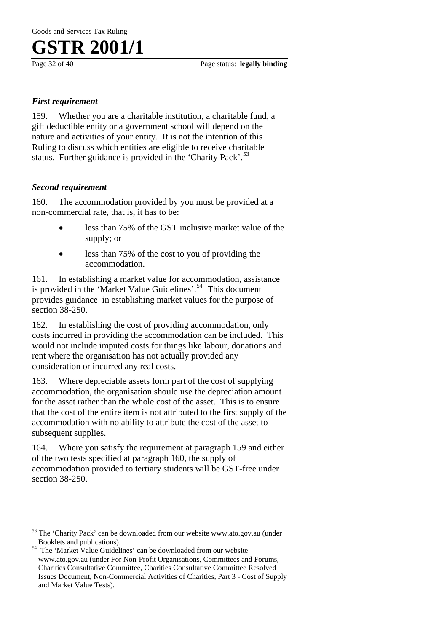Page 32 of 40 Page status: **legally binding**

#### *First requirement*

159. Whether you are a charitable institution, a charitable fund, a gift deductible entity or a government school will depend on the nature and activities of your entity. It is not the intention of this Ruling to discuss which entities are eligible to receive charitable status. Further guidance is provided in the 'Charity Pack'.<sup>[53](#page-32-0)</sup>

#### *Second requirement*

160. The accommodation provided by you must be provided at a non-commercial rate, that is, it has to be:

- less than 75% of the GST inclusive market value of the supply; or
- less than 75% of the cost to you of providing the accommodation.

161. In establishing a market value for accommodation, assistance is provided in the 'Market Value Guidelines'.[54](#page-32-1) This document provides guidance in establishing market values for the purpose of section 38-250.

162. In establishing the cost of providing accommodation, only costs incurred in providing the accommodation can be included. This would not include imputed costs for things like labour, donations and rent where the organisation has not actually provided any consideration or incurred any real costs.

163. Where depreciable assets form part of the cost of supplying accommodation, the organisation should use the depreciation amount for the asset rather than the whole cost of the asset. This is to ensure that the cost of the entire item is not attributed to the first supply of the accommodation with no ability to attribute the cost of the asset to subsequent supplies.

164. Where you satisfy the requirement at paragraph 159 and either of the two tests specified at paragraph 160, the supply of accommodation provided to tertiary students will be GST-free under section 38-250.

 $\overline{a}$ 53 The 'Charity Pack' can be downloaded from our website [www.ato.gov.au](http://www.ato.gov.au/) (under

<span id="page-32-1"></span><span id="page-32-0"></span>Booklets and publications). 54 The 'Market Value Guidelines' can be downloaded from our website [www.ato.gov.au](http://www.ato.gov.au/) (under For Non-Profit Organisations, Committees and Forums, Charities Consultative Committee, Charities Consultative Committee Resolved Issues Document, Non-Commercial Activities of Charities, Part 3 - Cost of Supply and Market Value Tests).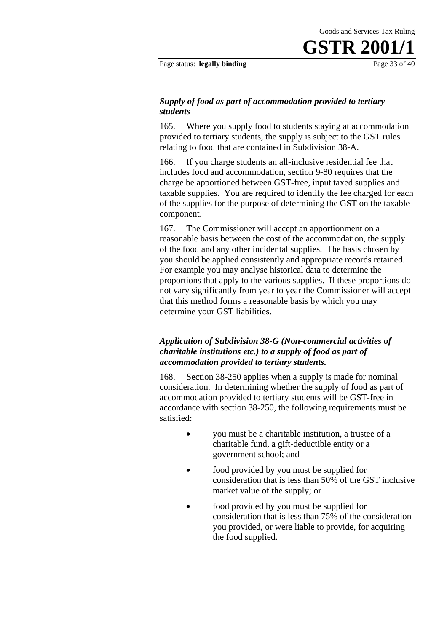Page status: **legally binding** Page 33 of 40

#### *Supply of food as part of accommodation provided to tertiary students*

165. Where you supply food to students staying at accommodation provided to tertiary students, the supply is subject to the GST rules relating to food that are contained in Subdivision 38-A.

166. If you charge students an all-inclusive residential fee that includes food and accommodation, section 9-80 requires that the charge be apportioned between GST-free, input taxed supplies and taxable supplies. You are required to identify the fee charged for each of the supplies for the purpose of determining the GST on the taxable component.

167. The Commissioner will accept an apportionment on a reasonable basis between the cost of the accommodation, the supply of the food and any other incidental supplies. The basis chosen by you should be applied consistently and appropriate records retained. For example you may analyse historical data to determine the proportions that apply to the various supplies. If these proportions do not vary significantly from year to year the Commissioner will accept that this method forms a reasonable basis by which you may determine your GST liabilities.

#### *Application of Subdivision 38-G (Non-commercial activities of charitable institutions etc.) to a supply of food as part of accommodation provided to tertiary students.*

168. Section 38-250 applies when a supply is made for nominal consideration. In determining whether the supply of food as part of accommodation provided to tertiary students will be GST-free in accordance with section 38-250, the following requirements must be satisfied:

- you must be a charitable institution, a trustee of a charitable fund, a gift-deductible entity or a government school; and
- food provided by you must be supplied for consideration that is less than 50% of the GST inclusive market value of the supply; or
- food provided by you must be supplied for consideration that is less than 75% of the consideration you provided, or were liable to provide, for acquiring the food supplied.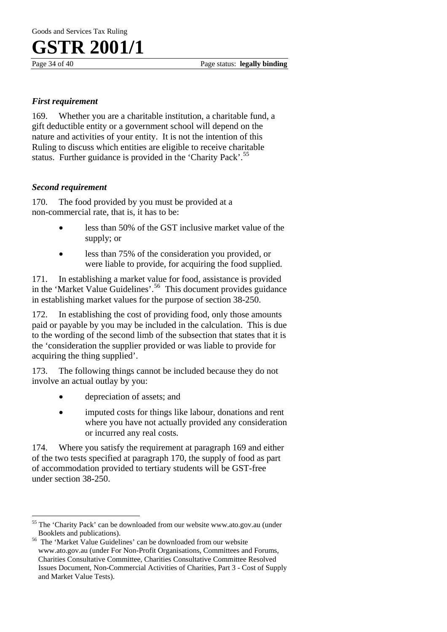Page 34 of 40 Page status: **legally binding**

#### *First requirement*

169. Whether you are a charitable institution, a charitable fund, a gift deductible entity or a government school will depend on the nature and activities of your entity. It is not the intention of this Ruling to discuss which entities are eligible to receive charitable status. Further guidance is provided in the 'Charity Pack'.<sup>[55](#page-34-0)</sup>

#### *Second requirement*

 $\overline{a}$ 

170. The food provided by you must be provided at a non-commercial rate, that is, it has to be:

- less than 50% of the GST inclusive market value of the supply; or
- less than 75% of the consideration you provided, or were liable to provide, for acquiring the food supplied.

171. In establishing a market value for food, assistance is provided in the 'Market Value Guidelines'.<sup>[56](#page-34-1)</sup> This document provides guidance in establishing market values for the purpose of section 38-250.

172. In establishing the cost of providing food, only those amounts paid or payable by you may be included in the calculation. This is due to the wording of the second limb of the subsection that states that it is the 'consideration the supplier provided or was liable to provide for acquiring the thing supplied'.

173. The following things cannot be included because they do not involve an actual outlay by you:

- depreciation of assets; and
- imputed costs for things like labour, donations and rent where you have not actually provided any consideration or incurred any real costs.

174. Where you satisfy the requirement at paragraph 169 and either of the two tests specified at paragraph 170, the supply of food as part of accommodation provided to tertiary students will be GST-free under section 38-250.

<span id="page-34-0"></span><sup>55</sup> The 'Charity Pack' can be downloaded from our website [www.ato.gov.au](http://www.ato.gov.au/) (under

<span id="page-34-1"></span>Booklets and publications). 56 The 'Market Value Guidelines' can be downloaded from our website [www.ato.gov.au](http://www.ato.gov.au/) (under For Non-Profit Organisations, Committees and Forums, Charities Consultative Committee, Charities Consultative Committee Resolved Issues Document, Non-Commercial Activities of Charities, Part 3 - Cost of Supply and Market Value Tests).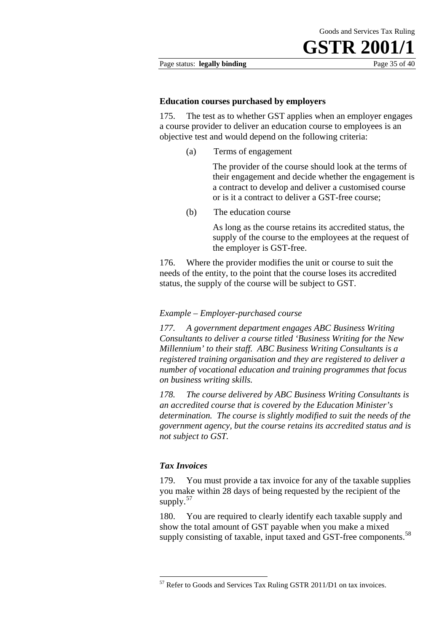Page status: **legally binding** Page 35 of 40

#### **Education courses purchased by employers**

175. The test as to whether GST applies when an employer engages a course provider to deliver an education course to employees is an objective test and would depend on the following criteria:

(a) Terms of engagement

The provider of the course should look at the terms of their engagement and decide whether the engagement is a contract to develop and deliver a customised course or is it a contract to deliver a GST-free course;

(b) The education course

As long as the course retains its accredited status, the supply of the course to the employees at the request of the employer is GST-free.

176. Where the provider modifies the unit or course to suit the needs of the entity, to the point that the course loses its accredited status, the supply of the course will be subject to GST.

#### *Example – Employer-purchased course*

*177. A government department engages ABC Business Writing Consultants to deliver a course titled 'Business Writing for the New Millennium' to their staff. ABC Business Writing Consultants is a registered training organisation and they are registered to deliver a number of vocational education and training programmes that focus on business writing skills.* 

*178. The course delivered by ABC Business Writing Consultants is an accredited course that is covered by the Education Minister's determination. The course is slightly modified to suit the needs of the government agency, but the course retains its accredited status and is not subject to GST.* 

#### *Tax Invoices*

1

179. You must provide a tax invoice for any of the taxable supplies you make within 28 days of being requested by the recipient of the supply. $57$ 

<span id="page-35-1"></span>180. You are required to clearly identify each taxable supply and show the total amount of GST payable when you make a mixed supply consisting of taxable, input taxed and GST-free components.<sup>[58](#page-35-1)</sup>

<span id="page-35-0"></span><sup>57</sup> Refer to Goods and Services Tax Ruling GSTR 2011/D1 on tax invoices.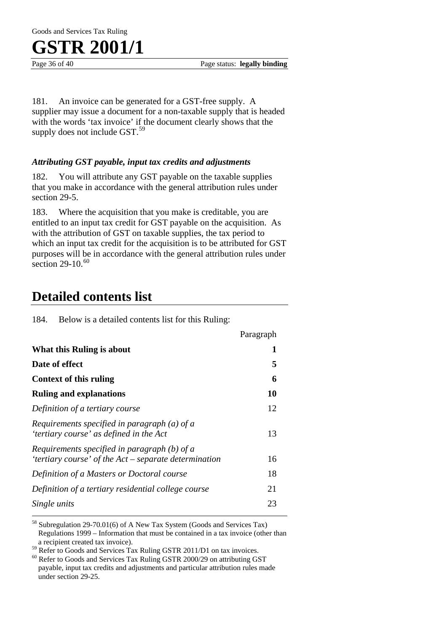Goods and Services Tax Ruling



Page 36 of 40 Page status: **legally binding**

181. An invoice can be generated for a GST-free supply. A supplier may issue a document for a non-taxable supply that is headed with the words 'tax invoice' if the document clearly shows that the supply does not include GST.<sup>[59](#page-36-0)</sup>

#### *Attributing GST payable, input tax credits and adjustments*

182. You will attribute any GST payable on the taxable supplies that you make in accordance with the general attribution rules under section 29-5.

183. Where the acquisition that you make is creditable, you are entitled to an input tax credit for GST payable on the acquisition. As with the attribution of GST on taxable supplies, the tax period to which an input tax credit for the acquisition is to be attributed for GST purposes will be in accordance with the general attribution rules under section 29-10.<sup>[60](#page-36-1)</sup>

### **Detailed contents list**

184. Below is a detailed contents list for this Ruling:

|                                                                                                         | Paragraph |
|---------------------------------------------------------------------------------------------------------|-----------|
| What this Ruling is about                                                                               | 1         |
| Date of effect                                                                                          | 5         |
| Context of this ruling                                                                                  | 6         |
| <b>Ruling and explanations</b>                                                                          | 10        |
| Definition of a tertiary course                                                                         | 12        |
| Requirements specified in paragraph $(a)$ of a<br>'tertiary course' as defined in the Act               | 13        |
| Requirements specified in paragraph $(b)$ of a<br>'tertiary course' of the Act – separate determination | 16        |
| Definition of a Masters or Doctoral course                                                              | 18        |
| Definition of a tertiary residential college course                                                     | 21        |
| Single units                                                                                            | 23        |

58 Subregulation 29-70.01(6) of A New Tax System (Goods and Services Tax) Regulations 1999 – Information that must be contained in a tax invoice (other than a recipient created tax invoice).

<span id="page-36-0"></span><sup>59</sup> Refer to Goods and Services Tax Ruling GSTR 2011/D1 on tax invoices.

<span id="page-36-1"></span><sup>60</sup> Refer to Goods and Services Tax Ruling GSTR 2000/29 on attributing GST payable, input tax credits and adjustments and particular attribution rules made under section 29-25.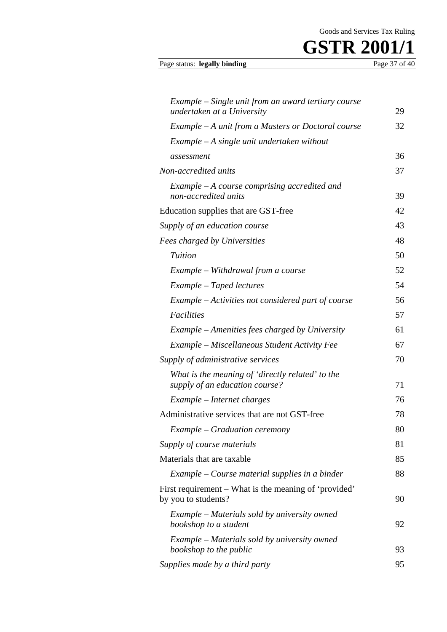

#### Page status: legally binding

| Example – Single unit from an award tertiary course                                |    |
|------------------------------------------------------------------------------------|----|
| undertaken at a University                                                         | 29 |
| Example $-A$ unit from a Masters or Doctoral course                                | 32 |
| Example - A single unit undertaken without                                         |    |
| assessment                                                                         | 36 |
| Non-accredited units                                                               | 37 |
| $Example - A course comprising\,, and$<br>non-accredited units                     | 39 |
| Education supplies that are GST-free                                               | 42 |
| Supply of an education course                                                      | 43 |
| Fees charged by Universities                                                       | 48 |
| Tuition                                                                            | 50 |
| Example – Withdrawal from a course                                                 | 52 |
| Example – Taped lectures                                                           | 54 |
| Example – Activities not considered part of course                                 | 56 |
| <b>Facilities</b>                                                                  | 57 |
| Example – Amenities fees charged by University                                     | 61 |
| Example – Miscellaneous Student Activity Fee                                       | 67 |
| Supply of administrative services                                                  | 70 |
| What is the meaning of 'directly related' to the<br>supply of an education course? | 71 |
| Example – Internet charges                                                         | 76 |
| Administrative services that are not GST-free                                      | 78 |
| Example – Graduation ceremony                                                      | 80 |
| Supply of course materials                                                         | 81 |
| Materials that are taxable                                                         | 85 |
| Example – Course material supplies in a binder                                     | 88 |
| First requirement – What is the meaning of 'provided'<br>by you to students?       | 90 |
| Example – Materials sold by university owned<br>bookshop to a student              | 92 |
| Example – Materials sold by university owned<br>bookshop to the public             | 93 |
| Supplies made by a third party                                                     | 95 |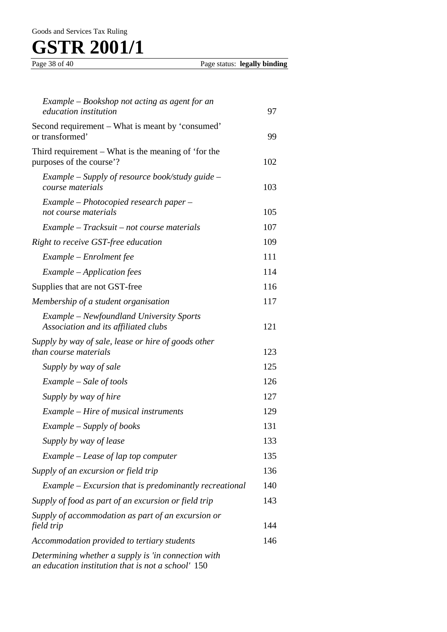#### Goods and Services Tax Ruling

# GSTR 2001/1

| Example – Bookshop not acting as agent for an<br>education institution                                    | 97  |
|-----------------------------------------------------------------------------------------------------------|-----|
| Second requirement – What is meant by 'consumed'<br>or transformed'                                       | 99  |
| Third requirement – What is the meaning of 'for the<br>purposes of the course'?                           | 102 |
| Example – Supply of resource book/study guide –<br>course materials                                       | 103 |
| Example – Photocopied research paper –<br>not course materials                                            | 105 |
| Example – Tracksuit – not course materials                                                                | 107 |
| Right to receive GST-free education                                                                       | 109 |
| Example – Enrolment fee                                                                                   | 111 |
| Example – Application fees                                                                                | 114 |
| Supplies that are not GST-free                                                                            | 116 |
| Membership of a student organisation                                                                      | 117 |
| Example – Newfoundland University Sports<br>Association and its affiliated clubs                          | 121 |
| Supply by way of sale, lease or hire of goods other<br>than course materials                              | 123 |
| Supply by way of sale                                                                                     | 125 |
| Example – Sale of tools                                                                                   | 126 |
| Supply by way of hire                                                                                     | 127 |
| <i>Example – Hire of musical instruments</i>                                                              | 129 |
| Example – Supply of books                                                                                 | 131 |
| Supply by way of lease                                                                                    | 133 |
| Example – Lease of lap top computer                                                                       | 135 |
| Supply of an excursion or field trip                                                                      | 136 |
| $Example - Excursion$ that is predominantly recreational                                                  | 140 |
| Supply of food as part of an excursion or field trip                                                      | 143 |
| Supply of accommodation as part of an excursion or<br>field trip                                          | 144 |
| Accommodation provided to tertiary students                                                               | 146 |
| Determining whether a supply is 'in connection with<br>an education institution that is not a school' 150 |     |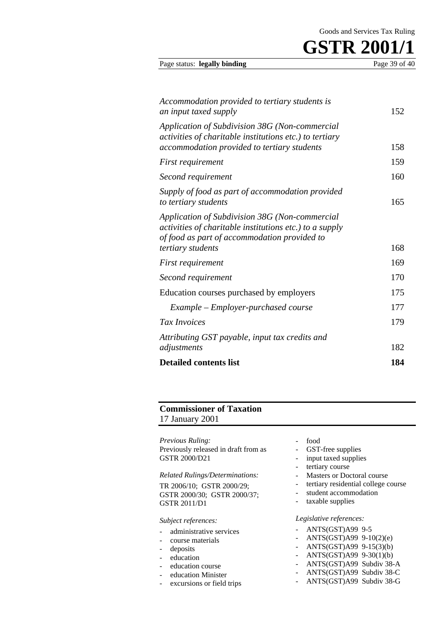| Accommodation provided to tertiary students is<br>an input taxed supply                                                                                  | 152 |
|----------------------------------------------------------------------------------------------------------------------------------------------------------|-----|
| Application of Subdivision 38G (Non-commercial<br>activities of charitable institutions etc.) to tertiary<br>accommodation provided to tertiary students | 158 |
| <i>First requirement</i>                                                                                                                                 | 159 |
| Second requirement                                                                                                                                       | 160 |
| Supply of food as part of accommodation provided<br>to tertiary students                                                                                 | 165 |

Page status: **legally binding** Page 39 of 40

| to tertiary students                                                                                                                                      | 165 |
|-----------------------------------------------------------------------------------------------------------------------------------------------------------|-----|
| Application of Subdivision 38G (Non-commercial<br>activities of charitable institutions etc.) to a supply<br>of food as part of accommodation provided to |     |
| tertiary students                                                                                                                                         | 168 |
| First requirement                                                                                                                                         | 169 |
| Second requirement                                                                                                                                        | 170 |
| Education courses purchased by employers                                                                                                                  | 175 |
| Example – Employer-purchased course                                                                                                                       | 177 |
| Tax Invoices                                                                                                                                              | 179 |
| Attributing GST payable, input tax credits and                                                                                                            |     |
| adjustments                                                                                                                                               | 182 |
| <b>Detailed contents list</b>                                                                                                                             | 184 |

#### **Commissioner of Taxation** 17 January 2001

*Previous Ruling:*  Previously released in draft from as GSTR 2000/D21

*Related Rulings/Determinations:* TR 2006/10; GSTR 2000/29; GSTR 2000/30; GSTR 2000/37; GSTR 2011/D1

#### *Subject references:*

- administrative services
- course materials
- deposits
- education
- education course
- education Minister
- excursions or field trips
- food
- GST-free supplies
- input taxed supplies
- tertiary course
- Masters or Doctoral course
- tertiary residential college course
- student accommodation
- taxable supplies

#### *Legislative references:*

- ANTS(GST)A99 9-5
- ANTS(GST)A99 9-10(2)(e)
- ANTS(GST)A99 9-15(3)(b)
- $ANTS(GST)A99 9-30(1)(b)$
- ANTS(GST)A99 Subdiv 38-A
- ANTS(GST)A99 Subdiv 38-C
- ANTS(GST)A99 Subdiv 38-G